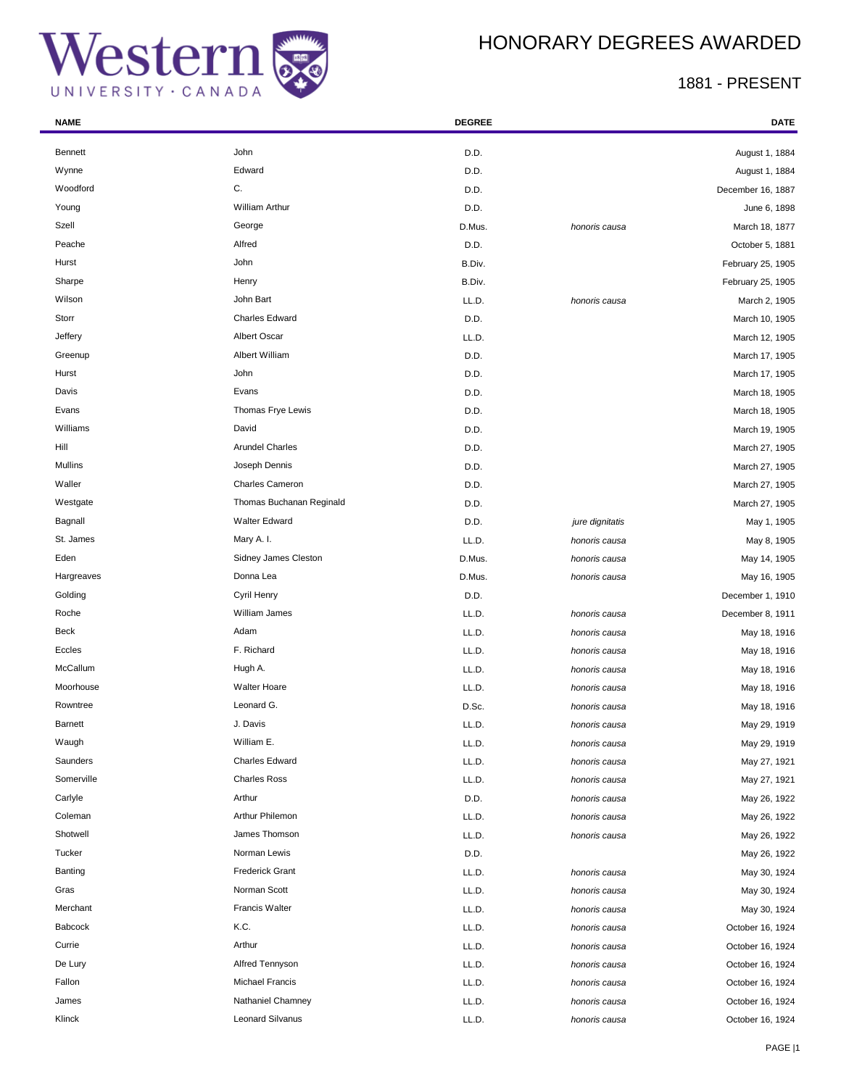



| <b>NAME</b>    |                          | <b>DEGREE</b> |                 | DATE              |
|----------------|--------------------------|---------------|-----------------|-------------------|
| <b>Bennett</b> | John                     | D.D.          |                 | August 1, 1884    |
| Wynne          | Edward                   | D.D.          |                 | August 1, 1884    |
| Woodford       | C.                       | D.D.          |                 | December 16, 1887 |
| Young          | <b>William Arthur</b>    | D.D.          |                 | June 6, 1898      |
| Szell          | George                   | D.Mus.        | honoris causa   | March 18, 1877    |
| Peache         | Alfred                   | D.D.          |                 | October 5, 1881   |
| Hurst          | John                     | B.Div.        |                 | February 25, 1905 |
| Sharpe         | Henry                    | B.Div.        |                 | February 25, 1905 |
| Wilson         | John Bart                | LL.D.         | honoris causa   | March 2, 1905     |
| Storr          | <b>Charles Edward</b>    | D.D.          |                 | March 10, 1905    |
| Jeffery        | Albert Oscar             | LL.D.         |                 | March 12, 1905    |
| Greenup        | Albert William           | D.D.          |                 | March 17, 1905    |
| Hurst          | John                     | D.D.          |                 | March 17, 1905    |
| Davis          | Evans                    | D.D.          |                 | March 18, 1905    |
| Evans          | Thomas Frye Lewis        | D.D.          |                 | March 18, 1905    |
| Williams       | David                    | D.D.          |                 | March 19, 1905    |
| Hill           | <b>Arundel Charles</b>   | D.D.          |                 | March 27, 1905    |
| Mullins        | Joseph Dennis            | D.D.          |                 | March 27, 1905    |
| Waller         | <b>Charles Cameron</b>   | D.D.          |                 | March 27, 1905    |
| Westgate       | Thomas Buchanan Reginald | D.D.          |                 | March 27, 1905    |
| Bagnall        | <b>Walter Edward</b>     | D.D.          | jure dignitatis | May 1, 1905       |
| St. James      | Mary A. I.               | LL.D.         | honoris causa   | May 8, 1905       |
| Eden           | Sidney James Cleston     | D.Mus.        | honoris causa   | May 14, 1905      |
| Hargreaves     | Donna Lea                | D.Mus.        | honoris causa   | May 16, 1905      |
| Golding        | Cyril Henry              | D.D.          |                 | December 1, 1910  |
| Roche          | William James            | LL.D.         | honoris causa   | December 8, 1911  |
| <b>Beck</b>    | Adam                     | LL.D.         | honoris causa   | May 18, 1916      |
| Eccles         | F. Richard               | LL.D.         | honoris causa   | May 18, 1916      |
| McCallum       | Hugh A.                  | LL.D.         | honoris causa   | May 18, 1916      |
| Moorhouse      | <b>Walter Hoare</b>      | LL.D.         | honoris causa   | May 18, 1916      |
| Rowntree       | Leonard G.               | D.Sc.         | honoris causa   | May 18, 1916      |
| <b>Barnett</b> | J. Davis                 | LL.D.         | honoris causa   | May 29, 1919      |
| Waugh          | William E.               | LL.D.         | honoris causa   | May 29, 1919      |
| Saunders       | Charles Edward           | LL.D.         | honoris causa   | May 27, 1921      |
| Somerville     | <b>Charles Ross</b>      | LL.D.         | honoris causa   | May 27, 1921      |
| Carlyle        | Arthur                   | D.D.          | honoris causa   | May 26, 1922      |
| Coleman        | Arthur Philemon          | LL.D.         | honoris causa   | May 26, 1922      |
| Shotwell       | James Thomson            | LL.D.         | honoris causa   | May 26, 1922      |
| Tucker         | Norman Lewis             | D.D.          |                 | May 26, 1922      |
| Banting        | <b>Frederick Grant</b>   | LL.D.         | honoris causa   | May 30, 1924      |
| Gras           | Norman Scott             | LL.D.         | honoris causa   | May 30, 1924      |
| Merchant       | <b>Francis Walter</b>    | LL.D.         | honoris causa   | May 30, 1924      |
| <b>Babcock</b> | K.C.                     | LL.D.         | honoris causa   | October 16, 1924  |
| Currie         | Arthur                   | LL.D.         | honoris causa   | October 16, 1924  |
| De Lury        | Alfred Tennyson          | LL.D.         | honoris causa   | October 16, 1924  |
| Fallon         | <b>Michael Francis</b>   | LL.D.         | honoris causa   | October 16, 1924  |
| James          | Nathaniel Chamney        | LL.D.         | honoris causa   | October 16, 1924  |
| Klinck         | <b>Leonard Silvanus</b>  | LL.D.         | honoris causa   | October 16, 1924  |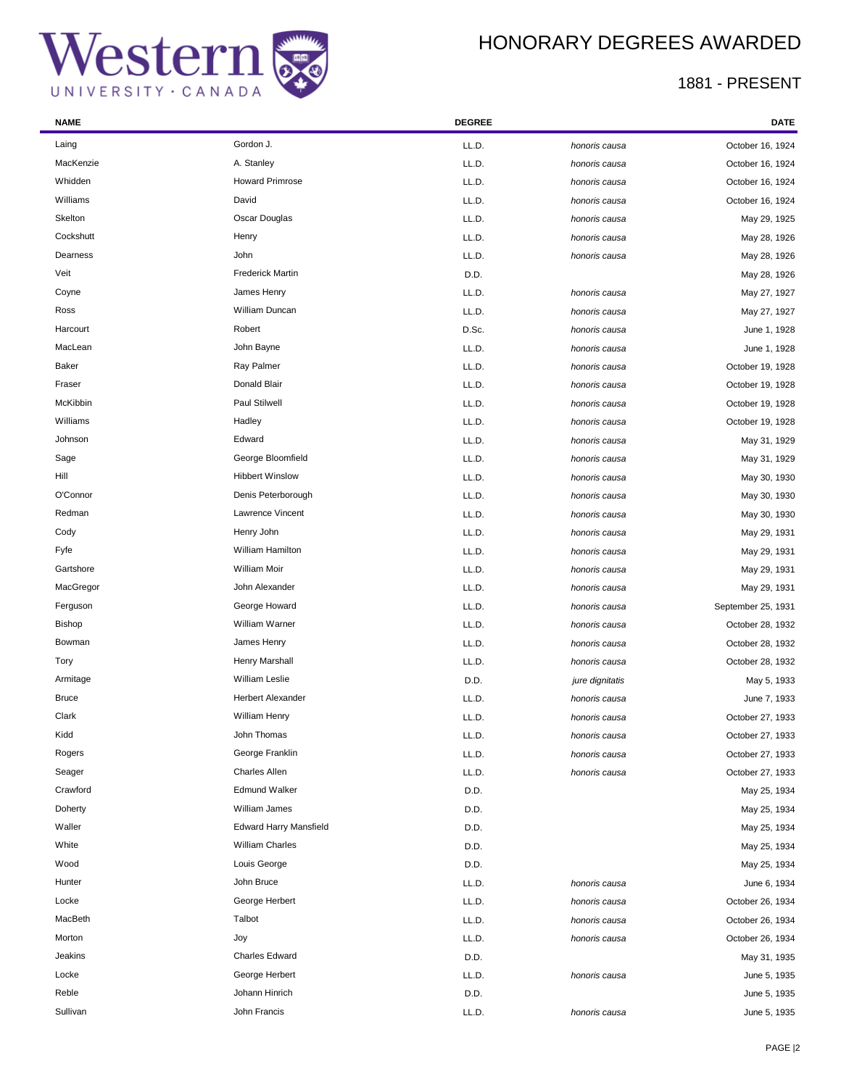÷

## HONORARY DEGREES AWARDED

| <b>NAME</b>   |                               | <b>DEGREE</b> |                 | <b>DATE</b>        |
|---------------|-------------------------------|---------------|-----------------|--------------------|
| Laing         | Gordon J.                     | LL.D.         | honoris causa   | October 16, 1924   |
| MacKenzie     | A. Stanley                    | LL.D.         | honoris causa   | October 16, 1924   |
| Whidden       | <b>Howard Primrose</b>        | LL.D.         | honoris causa   | October 16, 1924   |
| Williams      | David                         | LL.D.         | honoris causa   | October 16, 1924   |
| Skelton       | Oscar Douglas                 | LL.D.         | honoris causa   | May 29, 1925       |
| Cockshutt     | Henry                         | LL.D.         | honoris causa   | May 28, 1926       |
| Dearness      | John                          | LL.D.         | honoris causa   | May 28, 1926       |
| Veit          | <b>Frederick Martin</b>       | D.D.          |                 | May 28, 1926       |
| Coyne         | James Henry                   | LL.D.         | honoris causa   | May 27, 1927       |
| Ross          | William Duncan                | LL.D.         | honoris causa   | May 27, 1927       |
| Harcourt      | Robert                        | D.Sc.         | honoris causa   | June 1, 1928       |
| MacLean       | John Bayne                    | LL.D.         | honoris causa   | June 1, 1928       |
| <b>Baker</b>  | Ray Palmer                    | LL.D.         | honoris causa   | October 19, 1928   |
| Fraser        | Donald Blair                  | LL.D.         | honoris causa   | October 19, 1928   |
| McKibbin      | <b>Paul Stilwell</b>          | LL.D.         | honoris causa   | October 19, 1928   |
| Williams      | Hadley                        | LL.D.         | honoris causa   | October 19, 1928   |
| Johnson       | Edward                        | LL.D.         | honoris causa   | May 31, 1929       |
| Sage          | George Bloomfield             | LL.D.         | honoris causa   | May 31, 1929       |
| Hill          | <b>Hibbert Winslow</b>        | LL.D.         | honoris causa   | May 30, 1930       |
| O'Connor      | Denis Peterborough            | LL.D.         | honoris causa   | May 30, 1930       |
| Redman        | Lawrence Vincent              | LL.D.         | honoris causa   | May 30, 1930       |
| Cody          | Henry John                    | LL.D.         | honoris causa   | May 29, 1931       |
| Fyfe          | William Hamilton              | LL.D.         | honoris causa   | May 29, 1931       |
| Gartshore     | <b>William Moir</b>           | LL.D.         | honoris causa   | May 29, 1931       |
| MacGregor     | John Alexander                | LL.D.         | honoris causa   | May 29, 1931       |
| Ferguson      | George Howard                 | LL.D.         | honoris causa   | September 25, 1931 |
| <b>Bishop</b> | William Warner                | LL.D.         | honoris causa   | October 28, 1932   |
| Bowman        | James Henry                   | LL.D.         | honoris causa   | October 28, 1932   |
| Tory          | Henry Marshall                | LL.D.         | honoris causa   | October 28, 1932   |
| Armitage      | <b>William Leslie</b>         | D.D.          | jure dignitatis | May 5, 1933        |
| <b>Bruce</b>  | Herbert Alexander             | LL.D.         | honoris causa   | June 7, 1933       |
| Clark         | William Henry                 | LL.D.         | honoris causa   | October 27, 1933   |
| Kidd          | John Thomas                   | LL.D.         | honoris causa   | October 27, 1933   |
| Rogers        | George Franklin               | LL.D.         | honoris causa   | October 27, 1933   |
| Seager        | Charles Allen                 | LL.D.         | honoris causa   | October 27, 1933   |
| Crawford      | <b>Edmund Walker</b>          | D.D.          |                 | May 25, 1934       |
| Doherty       | William James                 | D.D.          |                 | May 25, 1934       |
| Waller        | <b>Edward Harry Mansfield</b> | D.D.          |                 | May 25, 1934       |
| White         | <b>William Charles</b>        | D.D.          |                 | May 25, 1934       |
| Wood          | Louis George                  | D.D.          |                 | May 25, 1934       |
| Hunter        | John Bruce                    | LL.D.         | honoris causa   | June 6, 1934       |
| Locke         | George Herbert                | LL.D.         | honoris causa   | October 26, 1934   |
| MacBeth       | Talbot                        | LL.D.         | honoris causa   | October 26, 1934   |
| Morton        | Joy                           | LL.D.         | honoris causa   | October 26, 1934   |
| Jeakins       | Charles Edward                | D.D.          |                 | May 31, 1935       |
| Locke         | George Herbert                | LL.D.         | honoris causa   | June 5, 1935       |
| Reble         | Johann Hinrich                | D.D.          |                 | June 5, 1935       |
| Sullivan      | John Francis                  | LL.D.         | honoris causa   | June 5, 1935       |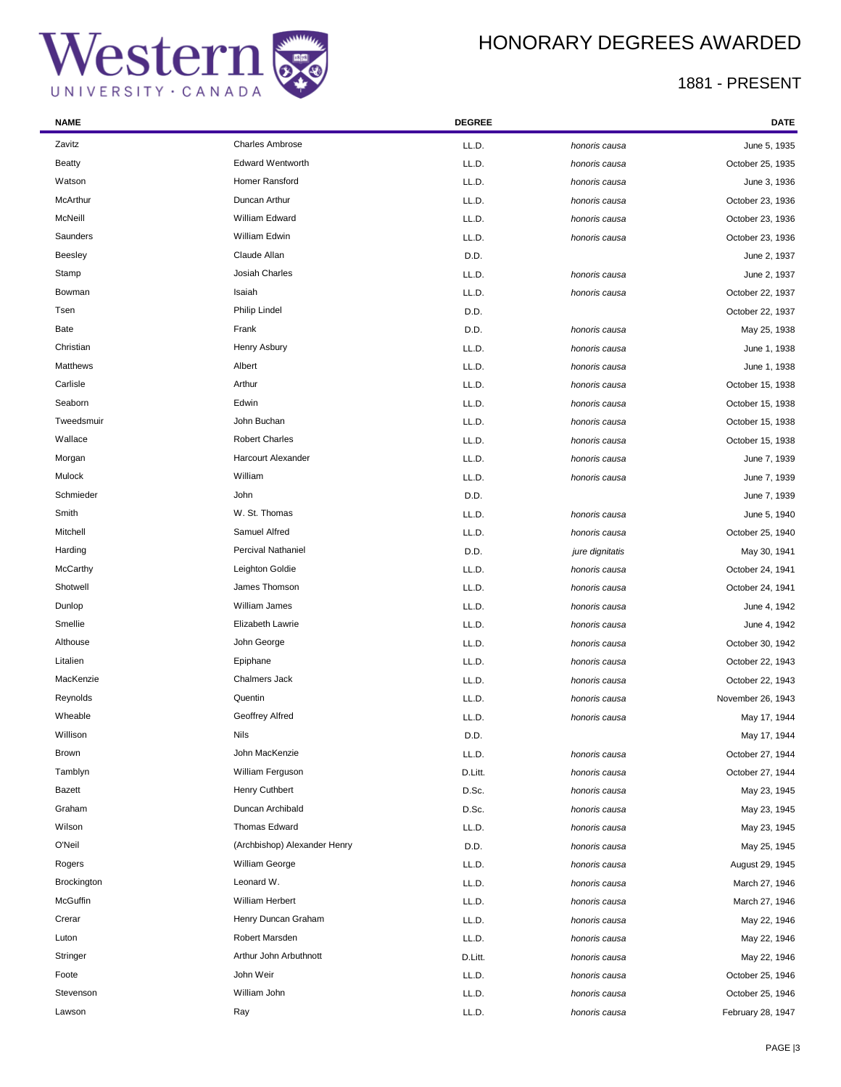



| <b>NAME</b>    |                              | <b>DEGREE</b> |                 | DATE              |
|----------------|------------------------------|---------------|-----------------|-------------------|
| Zavitz         | <b>Charles Ambrose</b>       | LL.D.         | honoris causa   | June 5, 1935      |
| <b>Beatty</b>  | <b>Edward Wentworth</b>      | LL.D.         | honoris causa   | October 25, 1935  |
| Watson         | Homer Ransford               | LL.D.         | honoris causa   | June 3, 1936      |
| McArthur       | Duncan Arthur                | LL.D.         | honoris causa   | October 23, 1936  |
| McNeill        | William Edward               | LL.D.         | honoris causa   | October 23, 1936  |
| Saunders       | William Edwin                | LL.D.         | honoris causa   | October 23, 1936  |
| <b>Beesley</b> | Claude Allan                 | D.D.          |                 | June 2, 1937      |
| Stamp          | Josiah Charles               | LL.D.         | honoris causa   | June 2, 1937      |
| Bowman         | Isaiah                       | LL.D.         | honoris causa   | October 22, 1937  |
| Tsen           | Philip Lindel                | D.D.          |                 | October 22, 1937  |
| Bate           | Frank                        | D.D.          | honoris causa   | May 25, 1938      |
| Christian      | Henry Asbury                 | LL.D.         | honoris causa   | June 1, 1938      |
| Matthews       | Albert                       | LL.D.         | honoris causa   | June 1, 1938      |
| Carlisle       | Arthur                       | LL.D.         | honoris causa   | October 15, 1938  |
| Seaborn        | Edwin                        | LL.D.         | honoris causa   | October 15, 1938  |
| Tweedsmuir     | John Buchan                  | LL.D.         | honoris causa   | October 15, 1938  |
| Wallace        | <b>Robert Charles</b>        | LL.D.         | honoris causa   | October 15, 1938  |
| Morgan         | Harcourt Alexander           | LL.D.         | honoris causa   | June 7, 1939      |
| Mulock         | William                      | LL.D.         | honoris causa   | June 7, 1939      |
| Schmieder      | John                         | D.D.          |                 | June 7, 1939      |
| Smith          | W. St. Thomas                | LL.D.         | honoris causa   | June 5, 1940      |
| Mitchell       | Samuel Alfred                | LL.D.         | honoris causa   | October 25, 1940  |
| Harding        | Percival Nathaniel           | D.D.          | jure dignitatis | May 30, 1941      |
| McCarthy       | Leighton Goldie              | LL.D.         | honoris causa   | October 24, 1941  |
| Shotwell       | James Thomson                | LL.D.         | honoris causa   | October 24, 1941  |
| Dunlop         | William James                | LL.D.         | honoris causa   | June 4, 1942      |
| Smellie        | Elizabeth Lawrie             | LL.D.         | honoris causa   | June 4, 1942      |
| Althouse       | John George                  | LL.D.         | honoris causa   | October 30, 1942  |
| Litalien       | Epiphane                     | LL.D.         | honoris causa   | October 22, 1943  |
| MacKenzie      | <b>Chalmers Jack</b>         | LL.D.         | honoris causa   | October 22, 1943  |
| Reynolds       | Quentin                      | LL.D.         | honoris causa   | November 26, 1943 |
| Wheable        | Geoffrey Alfred              | LL.D.         | honoris causa   | May 17, 1944      |
| Willison       | Nils                         | D.D.          |                 | May 17, 1944      |
| Brown          | John MacKenzie               | LL.D.         | honoris causa   | October 27, 1944  |
| Tamblyn        | William Ferguson             | D.Litt.       | honoris causa   | October 27, 1944  |
| Bazett         | Henry Cuthbert               | D.Sc.         | honoris causa   | May 23, 1945      |
| Graham         | Duncan Archibald             | D.Sc.         | honoris causa   | May 23, 1945      |
| Wilson         | Thomas Edward                | LL.D.         | honoris causa   | May 23, 1945      |
| O'Neil         | (Archbishop) Alexander Henry | D.D.          | honoris causa   | May 25, 1945      |
| Rogers         | William George               | LL.D.         | honoris causa   | August 29, 1945   |
| Brockington    | Leonard W.                   | LL.D.         | honoris causa   | March 27, 1946    |
| McGuffin       | William Herbert              | LL.D.         | honoris causa   | March 27, 1946    |
| Crerar         | Henry Duncan Graham          | LL.D.         | honoris causa   | May 22, 1946      |
| Luton          | Robert Marsden               | LL.D.         | honoris causa   | May 22, 1946      |
| Stringer       | Arthur John Arbuthnott       | D.Litt.       | honoris causa   | May 22, 1946      |
| Foote          | John Weir                    | LL.D.         | honoris causa   | October 25, 1946  |
| Stevenson      | William John                 | LL.D.         | honoris causa   | October 25, 1946  |
| Lawson         | Ray                          | LL.D.         | honoris causa   | February 28, 1947 |
|                |                              |               |                 |                   |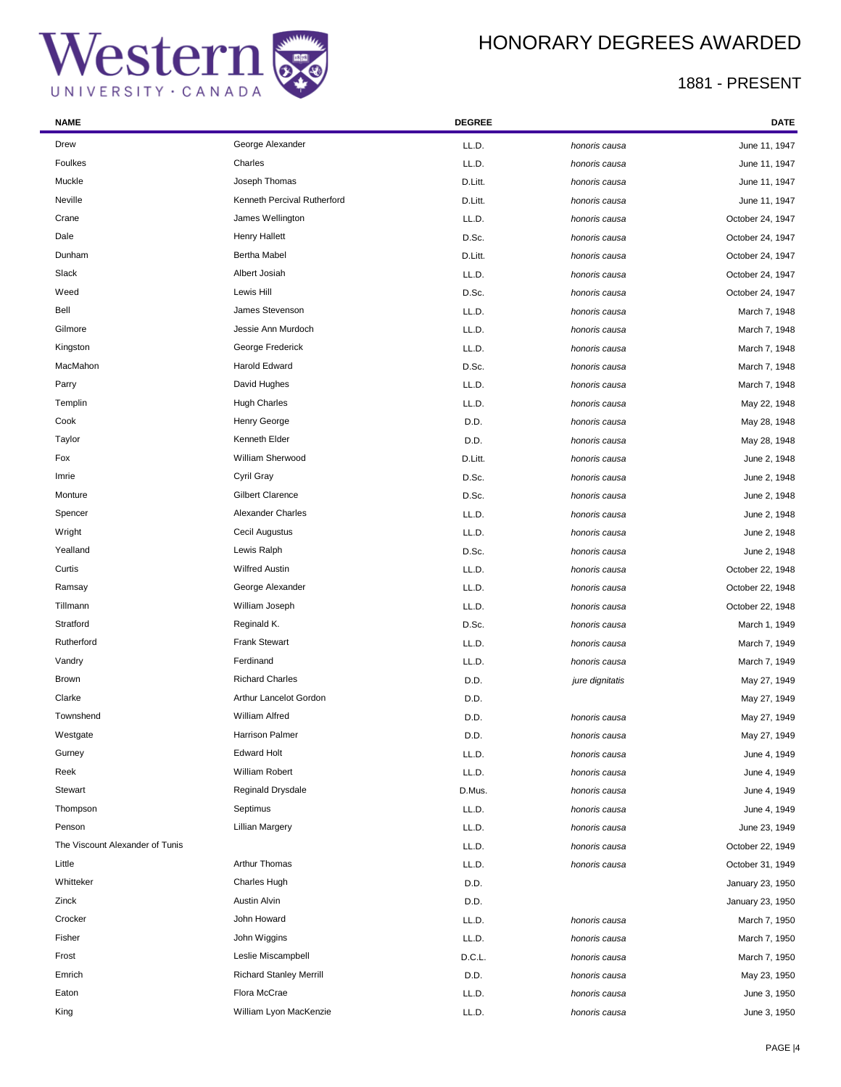

| <b>NAME</b>                     |                                | <b>DEGREE</b> |                 | DATE             |
|---------------------------------|--------------------------------|---------------|-----------------|------------------|
| Drew                            | George Alexander               | LL.D.         | honoris causa   | June 11, 1947    |
| Foulkes                         | Charles                        | LL.D.         | honoris causa   | June 11, 1947    |
| Muckle                          | Joseph Thomas                  | D.Litt.       | honoris causa   | June 11, 1947    |
| Neville                         | Kenneth Percival Rutherford    | D.Litt.       | honoris causa   | June 11, 1947    |
| Crane                           | James Wellington               | LL.D.         | honoris causa   | October 24, 1947 |
| Dale                            | Henry Hallett                  | D.Sc.         | honoris causa   | October 24, 1947 |
| Dunham                          | <b>Bertha Mabel</b>            | D.Litt.       | honoris causa   | October 24, 1947 |
| Slack                           | Albert Josiah                  | LL.D.         | honoris causa   | October 24, 1947 |
| Weed                            | Lewis Hill                     | D.Sc.         | honoris causa   | October 24, 1947 |
| Bell                            | James Stevenson                | LL.D.         | honoris causa   | March 7, 1948    |
| Gilmore                         | Jessie Ann Murdoch             | LL.D.         | honoris causa   | March 7, 1948    |
| Kingston                        | George Frederick               | LL.D.         | honoris causa   | March 7, 1948    |
| MacMahon                        | Harold Edward                  | D.Sc.         | honoris causa   | March 7, 1948    |
| Parry                           | David Hughes                   | LL.D.         | honoris causa   | March 7, 1948    |
| Templin                         | <b>Hugh Charles</b>            | LL.D.         | honoris causa   | May 22, 1948     |
| Cook                            | Henry George                   | D.D.          | honoris causa   | May 28, 1948     |
| Taylor                          | Kenneth Elder                  | D.D.          | honoris causa   | May 28, 1948     |
| Fox                             | William Sherwood               | D.Litt.       | honoris causa   | June 2, 1948     |
| Imrie                           | Cyril Gray                     | D.Sc.         | honoris causa   | June 2, 1948     |
| Monture                         | <b>Gilbert Clarence</b>        | D.Sc.         | honoris causa   | June 2, 1948     |
| Spencer                         | Alexander Charles              | LL.D.         | honoris causa   | June 2, 1948     |
| Wright                          | Cecil Augustus                 | LL.D.         | honoris causa   | June 2, 1948     |
| Yealland                        | Lewis Ralph                    | D.Sc.         | honoris causa   | June 2, 1948     |
| Curtis                          | <b>Wilfred Austin</b>          | LL.D.         | honoris causa   | October 22, 1948 |
| Ramsay                          | George Alexander               | LL.D.         | honoris causa   | October 22, 1948 |
| Tillmann                        | William Joseph                 | LL.D.         | honoris causa   | October 22, 1948 |
| Stratford                       | Reginald K.                    | D.Sc.         | honoris causa   | March 1, 1949    |
| Rutherford                      | <b>Frank Stewart</b>           | LL.D.         | honoris causa   | March 7, 1949    |
| Vandry                          | Ferdinand                      | LL.D.         | honoris causa   | March 7, 1949    |
| Brown                           | <b>Richard Charles</b>         | D.D.          | jure dignitatis | May 27, 1949     |
| Clarke                          | Arthur Lancelot Gordon         | D.D.          |                 | May 27, 1949     |
| Townshend                       | <b>William Alfred</b>          | D.D.          | honoris causa   | May 27, 1949     |
| Westgate                        | Harrison Palmer                | D.D.          | honoris causa   | May 27, 1949     |
| Gurney                          | <b>Edward Holt</b>             | LL.D.         | honoris causa   | June 4, 1949     |
| Reek                            | <b>William Robert</b>          | LL.D.         | honoris causa   | June 4, 1949     |
| Stewart                         | Reginald Drysdale              | D.Mus.        | honoris causa   | June 4, 1949     |
| Thompson                        | Septimus                       | LL.D.         | honoris causa   | June 4, 1949     |
| Penson                          | <b>Lillian Margery</b>         | LL.D.         | honoris causa   | June 23, 1949    |
| The Viscount Alexander of Tunis |                                | LL.D.         | honoris causa   | October 22, 1949 |
| Little                          | Arthur Thomas                  | LL.D.         | honoris causa   | October 31, 1949 |
| Whitteker                       | Charles Hugh                   | D.D.          |                 | January 23, 1950 |
| Zinck                           | <b>Austin Alvin</b>            | D.D.          |                 | January 23, 1950 |
| Crocker                         | John Howard                    | LL.D.         | honoris causa   | March 7, 1950    |
| Fisher                          | John Wiggins                   | LL.D.         | honoris causa   | March 7, 1950    |
| Frost                           | Leslie Miscampbell             | D.C.L.        | honoris causa   | March 7, 1950    |
| Emrich                          | <b>Richard Stanley Merrill</b> | D.D.          | honoris causa   | May 23, 1950     |
| Eaton                           | Flora McCrae                   | LL.D.         | honoris causa   | June 3, 1950     |
| King                            | William Lyon MacKenzie         | LL.D.         | honoris causa   | June 3, 1950     |
|                                 |                                |               |                 |                  |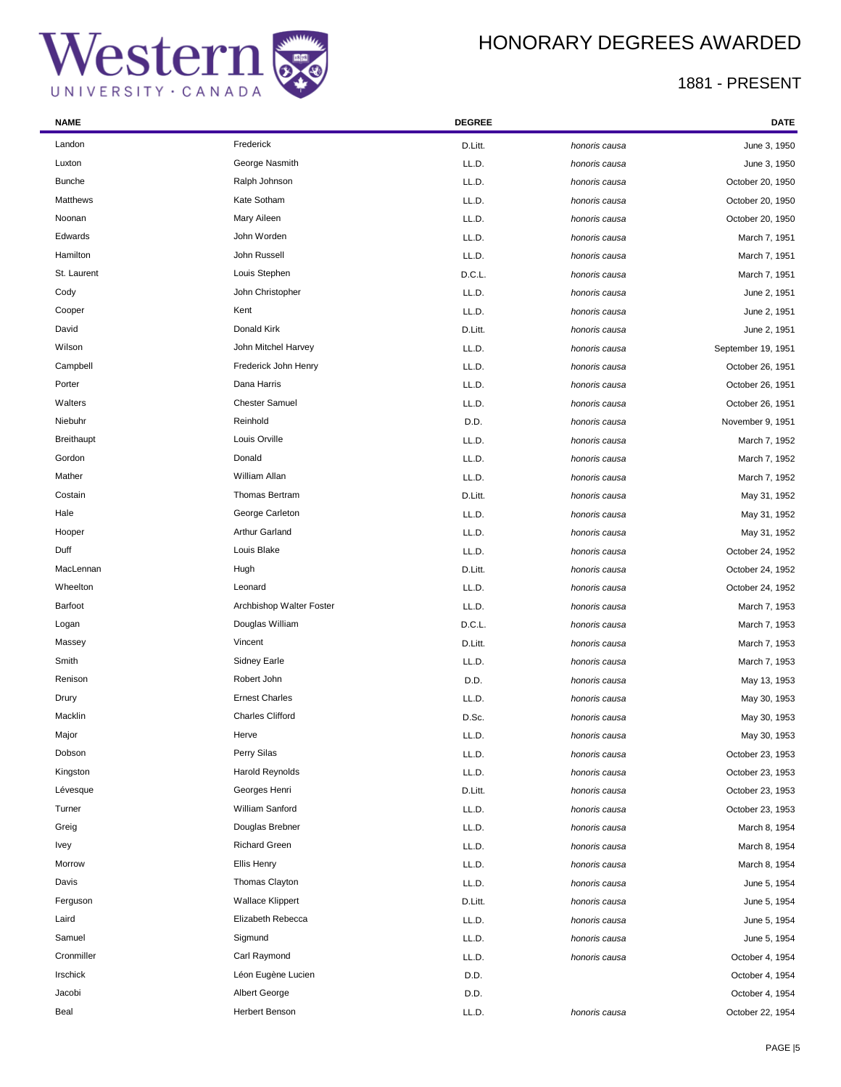÷

## HONORARY DEGREES AWARDED

| <b>NAME</b>       |                          | <b>DEGREE</b> |               | <b>DATE</b>        |
|-------------------|--------------------------|---------------|---------------|--------------------|
| Landon            | Frederick                | D.Litt.       | honoris causa | June 3, 1950       |
| Luxton            | George Nasmith           | LL.D.         | honoris causa | June 3, 1950       |
| <b>Bunche</b>     | Ralph Johnson            | LL.D.         | honoris causa | October 20, 1950   |
| Matthews          | Kate Sotham              | LL.D.         | honoris causa | October 20, 1950   |
| Noonan            | Mary Aileen              | LL.D.         | honoris causa | October 20, 1950   |
| Edwards           | John Worden              | LL.D.         | honoris causa | March 7, 1951      |
| Hamilton          | John Russell             | LL.D.         | honoris causa | March 7, 1951      |
| St. Laurent       | Louis Stephen            | D.C.L.        | honoris causa | March 7, 1951      |
| Cody              | John Christopher         | LL.D.         | honoris causa | June 2, 1951       |
| Cooper            | Kent                     | LL.D.         | honoris causa | June 2, 1951       |
| David             | Donald Kirk              | D.Litt.       | honoris causa | June 2, 1951       |
| Wilson            | John Mitchel Harvey      | LL.D.         | honoris causa | September 19, 1951 |
| Campbell          | Frederick John Henry     | LL.D.         | honoris causa | October 26, 1951   |
| Porter            | Dana Harris              | LL.D.         | honoris causa | October 26, 1951   |
| Walters           | <b>Chester Samuel</b>    | LL.D.         | honoris causa | October 26, 1951   |
| Niebuhr           | Reinhold                 | D.D.          | honoris causa | November 9, 1951   |
| <b>Breithaupt</b> | Louis Orville            | LL.D.         | honoris causa | March 7, 1952      |
| Gordon            | Donald                   | LL.D.         | honoris causa | March 7, 1952      |
| Mather            | William Allan            | LL.D.         | honoris causa | March 7, 1952      |
| Costain           | Thomas Bertram           | D.Litt.       | honoris causa | May 31, 1952       |
| Hale              | George Carleton          | LL.D.         | honoris causa | May 31, 1952       |
| Hooper            | Arthur Garland           | LL.D.         | honoris causa | May 31, 1952       |
| Duff              | Louis Blake              | LL.D.         | honoris causa | October 24, 1952   |
| MacLennan         | Hugh                     | D.Litt.       | honoris causa | October 24, 1952   |
| Wheelton          | Leonard                  | LL.D.         | honoris causa | October 24, 1952   |
| Barfoot           | Archbishop Walter Foster | LL.D.         | honoris causa | March 7, 1953      |
| Logan             | Douglas William          | D.C.L.        | honoris causa | March 7, 1953      |
| Massey            | Vincent                  | D.Litt.       | honoris causa | March 7, 1953      |
| Smith             | Sidney Earle             | LL.D.         | honoris causa | March 7, 1953      |
| Renison           | Robert John              | D.D.          | honoris causa | May 13, 1953       |
| Drury             | <b>Ernest Charles</b>    | LL.D.         | honoris causa | May 30, 1953       |
| Macklin           | <b>Charles Clifford</b>  | D.Sc.         | honoris causa | May 30, 1953       |
| Major             | Herve                    | LL.D.         | honoris causa | May 30, 1953       |
| Dobson            | Perry Silas              | LL.D.         | honoris causa | October 23, 1953   |
| Kingston          | Harold Reynolds          | LL.D.         | honoris causa | October 23, 1953   |
| Lévesque          | Georges Henri            | D.Litt.       | honoris causa | October 23, 1953   |
| Turner            | William Sanford          | LL.D.         | honoris causa | October 23, 1953   |
| Greig             | Douglas Brebner          | LL.D.         | honoris causa | March 8, 1954      |
| <b>Ivey</b>       | <b>Richard Green</b>     | LL.D.         | honoris causa | March 8, 1954      |
| Morrow            | Ellis Henry              | LL.D.         | honoris causa | March 8, 1954      |
| Davis             | Thomas Clayton           | LL.D.         | honoris causa | June 5, 1954       |
| Ferguson          | <b>Wallace Klippert</b>  | D.Litt.       | honoris causa | June 5, 1954       |
| Laird             | Elizabeth Rebecca        | LL.D.         | honoris causa | June 5, 1954       |
| Samuel            | Sigmund                  | LL.D.         | honoris causa | June 5, 1954       |
| Cronmiller        | Carl Raymond             | LL.D.         | honoris causa | October 4, 1954    |
| Irschick          | Léon Eugène Lucien       | D.D.          |               | October 4, 1954    |
| Jacobi            | <b>Albert George</b>     | D.D.          |               | October 4, 1954    |
| Beal              | Herbert Benson           | LL.D.         | honoris causa | October 22, 1954   |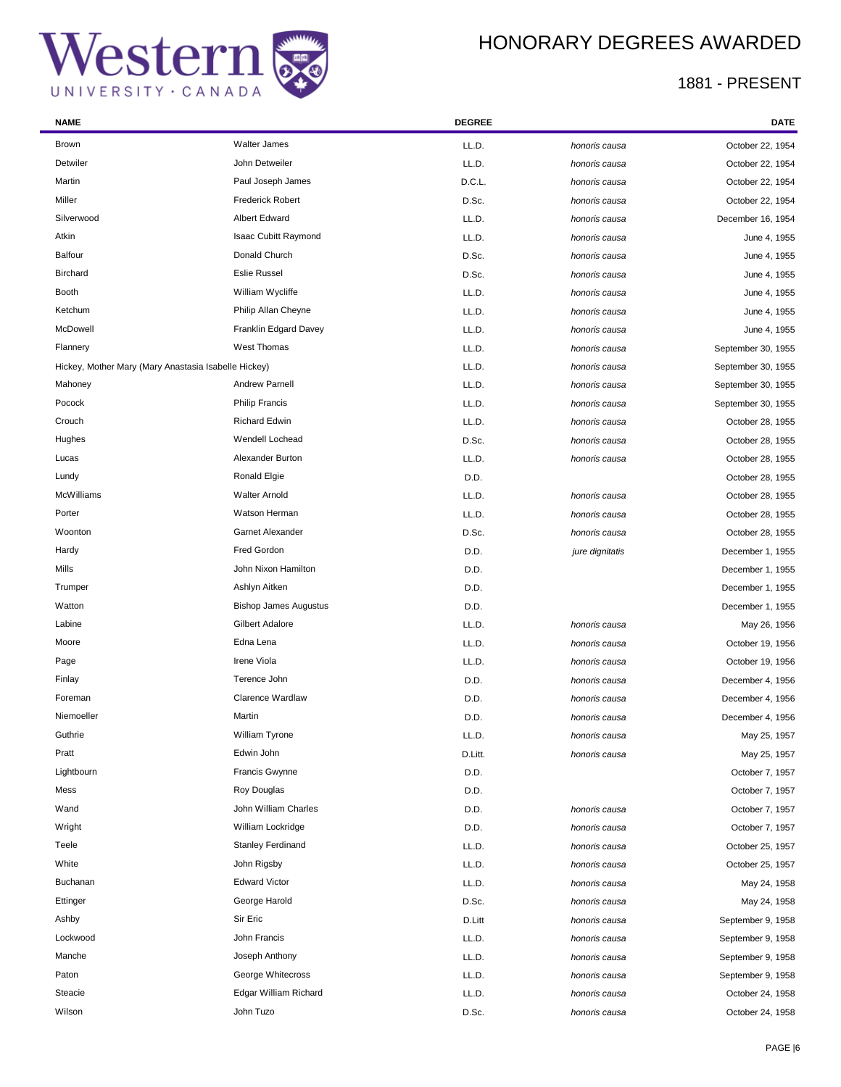### HONORARY DEGREES AWARDED

| <b>NAME</b>                                          |                              | <b>DEGREE</b> |                 | <b>DATE</b>        |
|------------------------------------------------------|------------------------------|---------------|-----------------|--------------------|
| Brown                                                | <b>Walter James</b>          | LL.D.         | honoris causa   | October 22, 1954   |
| Detwiler                                             | John Detweiler               | LL.D.         | honoris causa   | October 22, 1954   |
| Martin                                               | Paul Joseph James            | D.C.L.        | honoris causa   | October 22, 1954   |
| Miller                                               | <b>Frederick Robert</b>      | D.Sc.         | honoris causa   | October 22, 1954   |
| Silverwood                                           | Albert Edward                | LL.D.         | honoris causa   | December 16, 1954  |
| Atkin                                                | Isaac Cubitt Raymond         | LL.D.         | honoris causa   | June 4, 1955       |
| Balfour                                              | Donald Church                | D.Sc.         | honoris causa   | June 4, 1955       |
| <b>Birchard</b>                                      | <b>Eslie Russel</b>          | D.Sc.         | honoris causa   | June 4, 1955       |
| Booth                                                | William Wycliffe             | LL.D.         | honoris causa   | June 4, 1955       |
| Ketchum                                              | Philip Allan Cheyne          | LL.D.         | honoris causa   | June 4, 1955       |
| McDowell                                             | Franklin Edgard Davey        | LL.D.         | honoris causa   | June 4, 1955       |
| Flannery                                             | West Thomas                  | LL.D.         | honoris causa   | September 30, 1955 |
| Hickey, Mother Mary (Mary Anastasia Isabelle Hickey) |                              | LL.D.         | honoris causa   | September 30, 1955 |
| Mahoney                                              | Andrew Parnell               | LL.D.         | honoris causa   | September 30, 1955 |
| Pocock                                               | <b>Philip Francis</b>        | LL.D.         | honoris causa   | September 30, 1955 |
| Crouch                                               | <b>Richard Edwin</b>         | LL.D.         | honoris causa   | October 28, 1955   |
| Hughes                                               | Wendell Lochead              | D.Sc.         | honoris causa   | October 28, 1955   |
| Lucas                                                | Alexander Burton             | LL.D.         | honoris causa   | October 28, 1955   |
| Lundy                                                | Ronald Elgie                 | D.D.          |                 | October 28, 1955   |
| McWilliams                                           | <b>Walter Arnold</b>         | LL.D.         | honoris causa   | October 28, 1955   |
| Porter                                               | Watson Herman                | LL.D.         | honoris causa   | October 28, 1955   |
| Woonton                                              | Garnet Alexander             | D.Sc.         | honoris causa   | October 28, 1955   |
| Hardy                                                | Fred Gordon                  | D.D.          | jure dignitatis | December 1, 1955   |
| Mills                                                | John Nixon Hamilton          | D.D.          |                 | December 1, 1955   |
| Trumper                                              | Ashlyn Aitken                | D.D.          |                 | December 1, 1955   |
| Watton                                               | <b>Bishop James Augustus</b> | D.D.          |                 | December 1, 1955   |
| Labine                                               | Gilbert Adalore              | LL.D.         | honoris causa   | May 26, 1956       |
| Moore                                                | Edna Lena                    | LL.D.         | honoris causa   | October 19, 1956   |
| Page                                                 | Irene Viola                  | LL.D.         | honoris causa   | October 19, 1956   |
| Finlay                                               | Terence John                 | D.D.          | honoris causa   | December 4, 1956   |
| Foreman                                              | Clarence Wardlaw             | D.D.          | honoris causa   | December 4, 1956   |
| Niemoeller                                           | Martin                       | D.D.          | honoris causa   | December 4, 1956   |
| Guthrie                                              | William Tyrone               | LL.D.         | honoris causa   | May 25, 1957       |
| Pratt                                                | Edwin John                   | D.Litt.       | honoris causa   | May 25, 1957       |
| Lightbourn                                           | <b>Francis Gwynne</b>        | D.D.          |                 | October 7, 1957    |
| Mess                                                 | Roy Douglas                  | D.D.          |                 | October 7, 1957    |
| Wand                                                 | John William Charles         | D.D.          | honoris causa   | October 7, 1957    |
| Wright                                               | William Lockridge            | D.D.          | honoris causa   | October 7, 1957    |
| Teele                                                | <b>Stanley Ferdinand</b>     | LL.D.         | honoris causa   | October 25, 1957   |
| White                                                | John Rigsby                  | LL.D.         | honoris causa   | October 25, 1957   |
| Buchanan                                             | <b>Edward Victor</b>         | LL.D.         | honoris causa   | May 24, 1958       |
| Ettinger                                             | George Harold                | D.Sc.         | honoris causa   | May 24, 1958       |
| Ashby                                                | Sir Eric                     | D.Litt        | honoris causa   | September 9, 1958  |
| Lockwood                                             | John Francis                 | LL.D.         | honoris causa   | September 9, 1958  |
| Manche                                               | Joseph Anthony               | LL.D.         | honoris causa   | September 9, 1958  |
| Paton                                                | George Whitecross            | LL.D.         | honoris causa   | September 9, 1958  |
| Steacie                                              | Edgar William Richard        | LL.D.         | honoris causa   | October 24, 1958   |
| Wilson                                               | John Tuzo                    | D.Sc.         | honoris causa   | October 24, 1958   |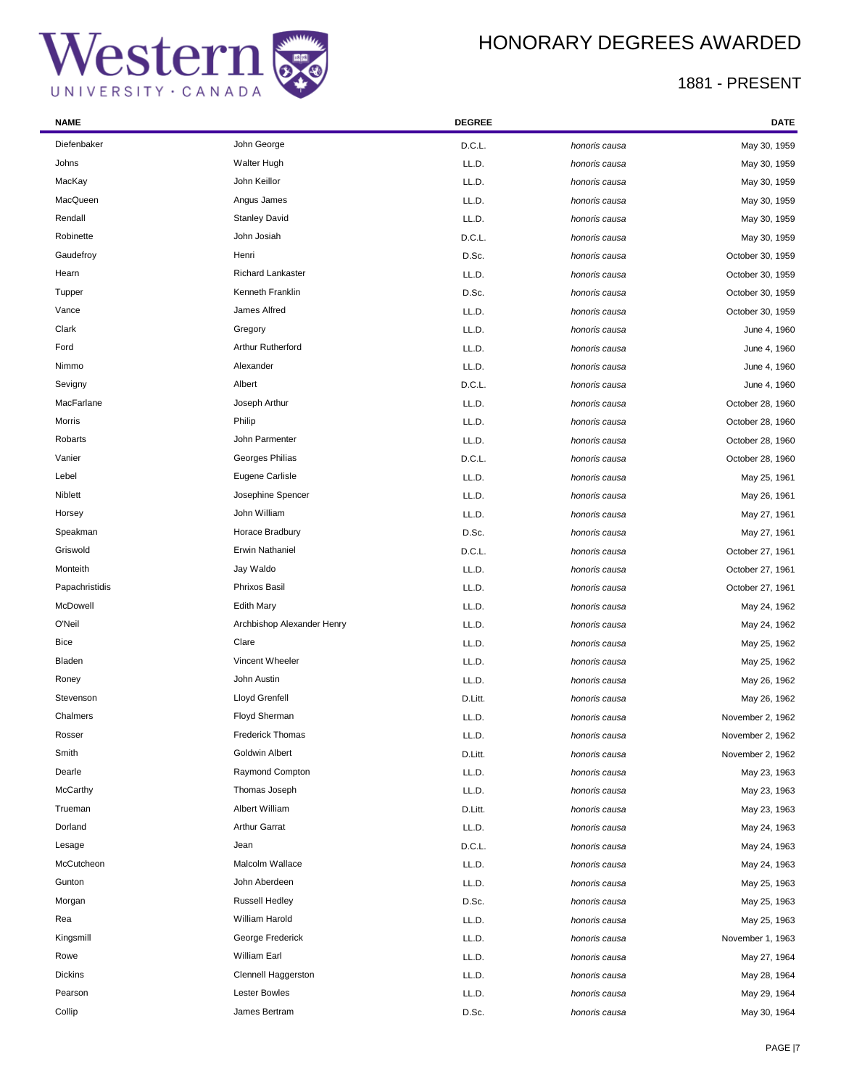

| <b>NAME</b>    |                            | <b>DEGREE</b> |               | <b>DATE</b>      |
|----------------|----------------------------|---------------|---------------|------------------|
| Diefenbaker    | John George                | D.C.L.        | honoris causa | May 30, 1959     |
| Johns          | Walter Hugh                | LL.D.         | honoris causa | May 30, 1959     |
| MacKay         | John Keillor               | LL.D.         | honoris causa | May 30, 1959     |
| MacQueen       | Angus James                | LL.D.         | honoris causa | May 30, 1959     |
| Rendall        | <b>Stanley David</b>       | LL.D.         | honoris causa | May 30, 1959     |
| Robinette      | John Josiah                | D.C.L.        | honoris causa | May 30, 1959     |
| Gaudefroy      | Henri                      | D.Sc.         | honoris causa | October 30, 1959 |
| Hearn          | <b>Richard Lankaster</b>   | LL.D.         | honoris causa | October 30, 1959 |
| Tupper         | Kenneth Franklin           | D.Sc.         | honoris causa | October 30, 1959 |
| Vance          | James Alfred               | LL.D.         | honoris causa | October 30, 1959 |
| Clark          | Gregory                    | LL.D.         | honoris causa | June 4, 1960     |
| Ford           | Arthur Rutherford          | LL.D.         | honoris causa | June 4, 1960     |
| Nimmo          | Alexander                  | LL.D.         | honoris causa | June 4, 1960     |
| Sevigny        | Albert                     | D.C.L.        | honoris causa | June 4, 1960     |
| MacFarlane     | Joseph Arthur              | LL.D.         | honoris causa | October 28, 1960 |
| Morris         | Philip                     | LL.D.         | honoris causa | October 28, 1960 |
| Robarts        | John Parmenter             | LL.D.         | honoris causa | October 28, 1960 |
| Vanier         | Georges Philias            | D.C.L.        | honoris causa | October 28, 1960 |
| Lebel          | Eugene Carlisle            | LL.D.         | honoris causa | May 25, 1961     |
| Niblett        | Josephine Spencer          | LL.D.         | honoris causa | May 26, 1961     |
| Horsey         | John William               | LL.D.         | honoris causa | May 27, 1961     |
| Speakman       | Horace Bradbury            | D.Sc.         | honoris causa | May 27, 1961     |
| Griswold       | <b>Erwin Nathaniel</b>     | D.C.L.        | honoris causa | October 27, 1961 |
| Monteith       | Jay Waldo                  | LL.D.         | honoris causa | October 27, 1961 |
| Papachristidis | Phrixos Basil              | LL.D.         | honoris causa | October 27, 1961 |
| McDowell       | <b>Edith Mary</b>          | LL.D.         | honoris causa | May 24, 1962     |
| O'Neil         | Archbishop Alexander Henry | LL.D.         | honoris causa | May 24, 1962     |
| Bice           | Clare                      | LL.D.         | honoris causa | May 25, 1962     |
| Bladen         | Vincent Wheeler            | LL.D.         | honoris causa | May 25, 1962     |
| Roney          | John Austin                | LL.D.         | honoris causa | May 26, 1962     |
| Stevenson      | Lloyd Grenfell             | D.Litt.       | honoris causa | May 26, 1962     |
| Chalmers       | Floyd Sherman              | LL.D.         | honoris causa | November 2, 1962 |
| Rosser         | <b>Frederick Thomas</b>    | LL.D.         | honoris causa | November 2, 1962 |
| Smith          | Goldwin Albert             | D.Litt.       | honoris causa | November 2, 1962 |
| Dearle         | Raymond Compton            | LL.D.         | honoris causa | May 23, 1963     |
| McCarthy       | Thomas Joseph              | LL.D.         | honoris causa | May 23, 1963     |
| Trueman        | Albert William             | D.Litt.       | honoris causa | May 23, 1963     |
| Dorland        | <b>Arthur Garrat</b>       | LL.D.         | honoris causa | May 24, 1963     |
| Lesage         | Jean                       | D.C.L.        | honoris causa | May 24, 1963     |
| McCutcheon     | Malcolm Wallace            | LL.D.         | honoris causa | May 24, 1963     |
| Gunton         | John Aberdeen              | LL.D.         | honoris causa | May 25, 1963     |
| Morgan         | <b>Russell Hedley</b>      | D.Sc.         | honoris causa | May 25, 1963     |
| Rea            | William Harold             | LL.D.         | honoris causa | May 25, 1963     |
| Kingsmill      | George Frederick           | LL.D.         | honoris causa | November 1, 1963 |
| Rowe           | William Earl               | LL.D.         | honoris causa | May 27, 1964     |
| <b>Dickins</b> | Clennell Haggerston        | LL.D.         | honoris causa | May 28, 1964     |
| Pearson        | <b>Lester Bowles</b>       | LL.D.         | honoris causa | May 29, 1964     |
| Collip         | James Bertram              | D.Sc.         | honoris causa | May 30, 1964     |
|                |                            |               |               |                  |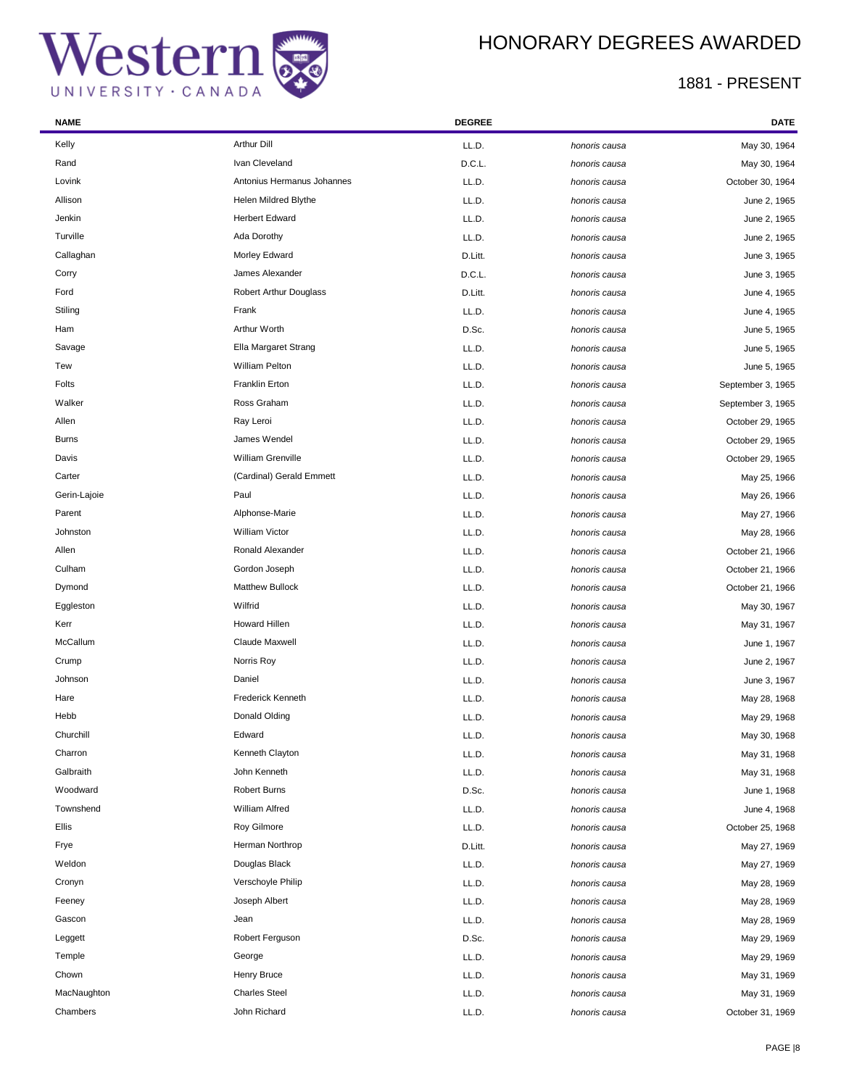# Western CANADA

## HONORARY DEGREES AWARDED

| <b>NAME</b>  |                               | <b>DEGREE</b> |               | DATE              |
|--------------|-------------------------------|---------------|---------------|-------------------|
| Kelly        | <b>Arthur Dill</b>            | LL.D.         | honoris causa | May 30, 1964      |
| Rand         | Ivan Cleveland                | D.C.L.        | honoris causa | May 30, 1964      |
| Lovink       | Antonius Hermanus Johannes    | LL.D.         | honoris causa | October 30, 1964  |
| Allison      | Helen Mildred Blythe          | LL.D.         | honoris causa | June 2, 1965      |
| Jenkin       | <b>Herbert Edward</b>         | LL.D.         | honoris causa | June 2, 1965      |
| Turville     | Ada Dorothy                   | LL.D.         | honoris causa | June 2, 1965      |
| Callaghan    | Morley Edward                 | D.Litt.       | honoris causa | June 3, 1965      |
| Corry        | James Alexander               | D.C.L.        | honoris causa | June 3, 1965      |
| Ford         | <b>Robert Arthur Douglass</b> | D.Litt.       | honoris causa | June 4, 1965      |
| Stiling      | Frank                         | LL.D.         | honoris causa | June 4, 1965      |
| Ham          | Arthur Worth                  | D.Sc.         | honoris causa | June 5, 1965      |
| Savage       | Ella Margaret Strang          | LL.D.         | honoris causa | June 5, 1965      |
| Tew          | William Pelton                | LL.D.         | honoris causa | June 5, 1965      |
| Folts        | Franklin Erton                | LL.D.         | honoris causa | September 3, 1965 |
| Walker       | Ross Graham                   | LL.D.         | honoris causa | September 3, 1965 |
| Allen        | Ray Leroi                     | LL.D.         | honoris causa | October 29, 1965  |
| <b>Burns</b> | James Wendel                  | LL.D.         | honoris causa | October 29, 1965  |
| Davis        | William Grenville             | LL.D.         | honoris causa | October 29, 1965  |
| Carter       | (Cardinal) Gerald Emmett      | LL.D.         | honoris causa | May 25, 1966      |
| Gerin-Lajoie | Paul                          | LL.D.         | honoris causa | May 26, 1966      |
| Parent       | Alphonse-Marie                | LL.D.         | honoris causa | May 27, 1966      |
| Johnston     | <b>William Victor</b>         | LL.D.         | honoris causa | May 28, 1966      |
| Allen        | Ronald Alexander              | LL.D.         | honoris causa | October 21, 1966  |
| Culham       | Gordon Joseph                 | LL.D.         | honoris causa | October 21, 1966  |
| Dymond       | <b>Matthew Bullock</b>        | LL.D.         | honoris causa | October 21, 1966  |
| Eggleston    | Wilfrid                       | LL.D.         | honoris causa | May 30, 1967      |
| Kerr         | <b>Howard Hillen</b>          | LL.D.         | honoris causa | May 31, 1967      |
| McCallum     | Claude Maxwell                | LL.D.         | honoris causa | June 1, 1967      |
| Crump        | Norris Roy                    | LL.D.         | honoris causa | June 2, 1967      |
| Johnson      | Daniel                        | LL.D.         | honoris causa | June 3, 1967      |
| Hare         | <b>Frederick Kenneth</b>      | LL.D.         | honoris causa | May 28, 1968      |
| Hebb         | Donald Olding                 | LL.D.         | honoris causa | May 29, 1968      |
| Churchill    | Edward                        | LL.D.         | honoris causa | May 30, 1968      |
| Charron      | Kenneth Clayton               | LL.D.         | honoris causa | May 31, 1968      |
| Galbraith    | John Kenneth                  | LL.D.         | honoris causa | May 31, 1968      |
| Woodward     | <b>Robert Burns</b>           | D.Sc.         | honoris causa | June 1, 1968      |
| Townshend    | William Alfred                | LL.D.         | honoris causa | June 4, 1968      |
| Ellis        | <b>Roy Gilmore</b>            | LL.D.         | honoris causa | October 25, 1968  |
| Frye         | Herman Northrop               | D.Litt.       | honoris causa | May 27, 1969      |
| Weldon       | Douglas Black                 | LL.D.         | honoris causa | May 27, 1969      |
| Cronyn       | Verschoyle Philip             | LL.D.         | honoris causa | May 28, 1969      |
| Feeney       | Joseph Albert                 | LL.D.         | honoris causa | May 28, 1969      |
| Gascon       | Jean                          | LL.D.         | honoris causa | May 28, 1969      |
| Leggett      | Robert Ferguson               | D.Sc.         | honoris causa | May 29, 1969      |
| Temple       | George                        | LL.D.         | honoris causa | May 29, 1969      |
| Chown        | Henry Bruce                   | LL.D.         | honoris causa | May 31, 1969      |
| MacNaughton  | <b>Charles Steel</b>          | LL.D.         | honoris causa | May 31, 1969      |
| Chambers     | John Richard                  | LL.D.         | honoris causa | October 31, 1969  |
|              |                               |               |               |                   |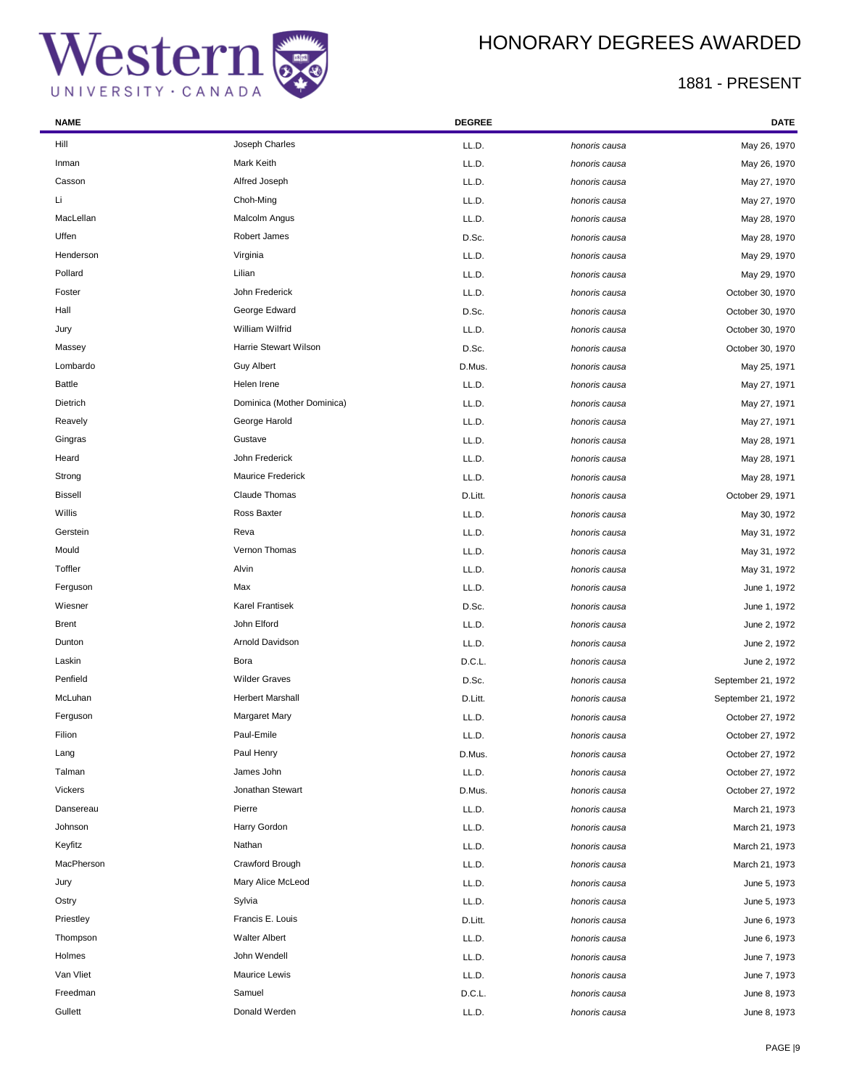

÷

### HONORARY DEGREES AWARDED

| <b>NAME</b>    |                              | <b>DEGREE</b> |               | DATE               |
|----------------|------------------------------|---------------|---------------|--------------------|
| Hill           | Joseph Charles               | LL.D.         | honoris causa | May 26, 1970       |
| Inman          | Mark Keith                   | LL.D.         | honoris causa | May 26, 1970       |
| Casson         | Alfred Joseph                | LL.D.         | honoris causa | May 27, 1970       |
| Li             | Choh-Ming                    | LL.D.         | honoris causa | May 27, 1970       |
| MacLellan      | Malcolm Angus                | LL.D.         | honoris causa | May 28, 1970       |
| Uffen          | Robert James                 | D.Sc.         | honoris causa | May 28, 1970       |
| Henderson      | Virginia                     | LL.D.         | honoris causa | May 29, 1970       |
| Pollard        | Lilian                       | LL.D.         | honoris causa | May 29, 1970       |
| Foster         | John Frederick               | LL.D.         | honoris causa | October 30, 1970   |
| Hall           | George Edward                | D.Sc.         | honoris causa | October 30, 1970   |
| Jury           | William Wilfrid              | LL.D.         | honoris causa | October 30, 1970   |
| Massey         | <b>Harrie Stewart Wilson</b> | D.Sc.         | honoris causa | October 30, 1970   |
| Lombardo       | <b>Guy Albert</b>            | D.Mus.        | honoris causa | May 25, 1971       |
| <b>Battle</b>  | Helen Irene                  | LL.D.         | honoris causa | May 27, 1971       |
| Dietrich       | Dominica (Mother Dominica)   | LL.D.         | honoris causa | May 27, 1971       |
| Reavely        | George Harold                | LL.D.         | honoris causa | May 27, 1971       |
| Gingras        | Gustave                      | LL.D.         | honoris causa | May 28, 1971       |
| Heard          | John Frederick               | LL.D.         | honoris causa | May 28, 1971       |
| Strong         | <b>Maurice Frederick</b>     | LL.D.         | honoris causa | May 28, 1971       |
| <b>Bissell</b> | Claude Thomas                | D.Litt.       | honoris causa | October 29, 1971   |
| Willis         | Ross Baxter                  | LL.D.         | honoris causa | May 30, 1972       |
| Gerstein       | Reva                         | LL.D.         | honoris causa | May 31, 1972       |
| Mould          | Vernon Thomas                | LL.D.         | honoris causa | May 31, 1972       |
| Toffler        | Alvin                        | LL.D.         | honoris causa | May 31, 1972       |
| Ferguson       | Max                          | LL.D.         | honoris causa | June 1, 1972       |
| Wiesner        | <b>Karel Frantisek</b>       | D.Sc.         | honoris causa | June 1, 1972       |
| <b>Brent</b>   | John Elford                  | LL.D.         | honoris causa | June 2, 1972       |
| Dunton         | Arnold Davidson              | LL.D.         | honoris causa | June 2, 1972       |
| Laskin         | Bora                         | D.C.L.        | honoris causa | June 2, 1972       |
| Penfield       | <b>Wilder Graves</b>         | D.Sc.         | honoris causa | September 21, 1972 |
| McLuhan        | <b>Herbert Marshall</b>      | D.Litt.       | honoris causa | September 21, 1972 |
| Ferguson       | <b>Margaret Mary</b>         | LL.D.         | honoris causa | October 27, 1972   |
| Filion         | Paul-Emile                   | LL.D.         | honoris causa | October 27, 1972   |
| Lang           | Paul Henry                   | D.Mus.        | honoris causa | October 27, 1972   |
| Talman         | James John                   | LL.D.         | honoris causa | October 27, 1972   |
| Vickers        | Jonathan Stewart             | D.Mus.        | honoris causa | October 27, 1972   |
| Dansereau      | Pierre                       | LL.D.         | honoris causa | March 21, 1973     |
| Johnson        | Harry Gordon                 | LL.D.         | honoris causa | March 21, 1973     |
| Keyfitz        | Nathan                       | LL.D.         | honoris causa | March 21, 1973     |
| MacPherson     | Crawford Brough              | LL.D.         | honoris causa | March 21, 1973     |
| Jury           | Mary Alice McLeod            | LL.D.         | honoris causa | June 5, 1973       |
| Ostry          | Sylvia                       | LL.D.         | honoris causa | June 5, 1973       |
| Priestley      | Francis E. Louis             | D.Litt.       | honoris causa | June 6, 1973       |
| Thompson       | <b>Walter Albert</b>         | LL.D.         | honoris causa | June 6, 1973       |
| Holmes         | John Wendell                 | LL.D.         | honoris causa | June 7, 1973       |
| Van Vliet      | Maurice Lewis                | LL.D.         | honoris causa | June 7, 1973       |
| Freedman       | Samuel                       | D.C.L.        | honoris causa | June 8, 1973       |
| Gullett        | Donald Werden                | LL.D.         | honoris causa | June 8, 1973       |
|                |                              |               |               |                    |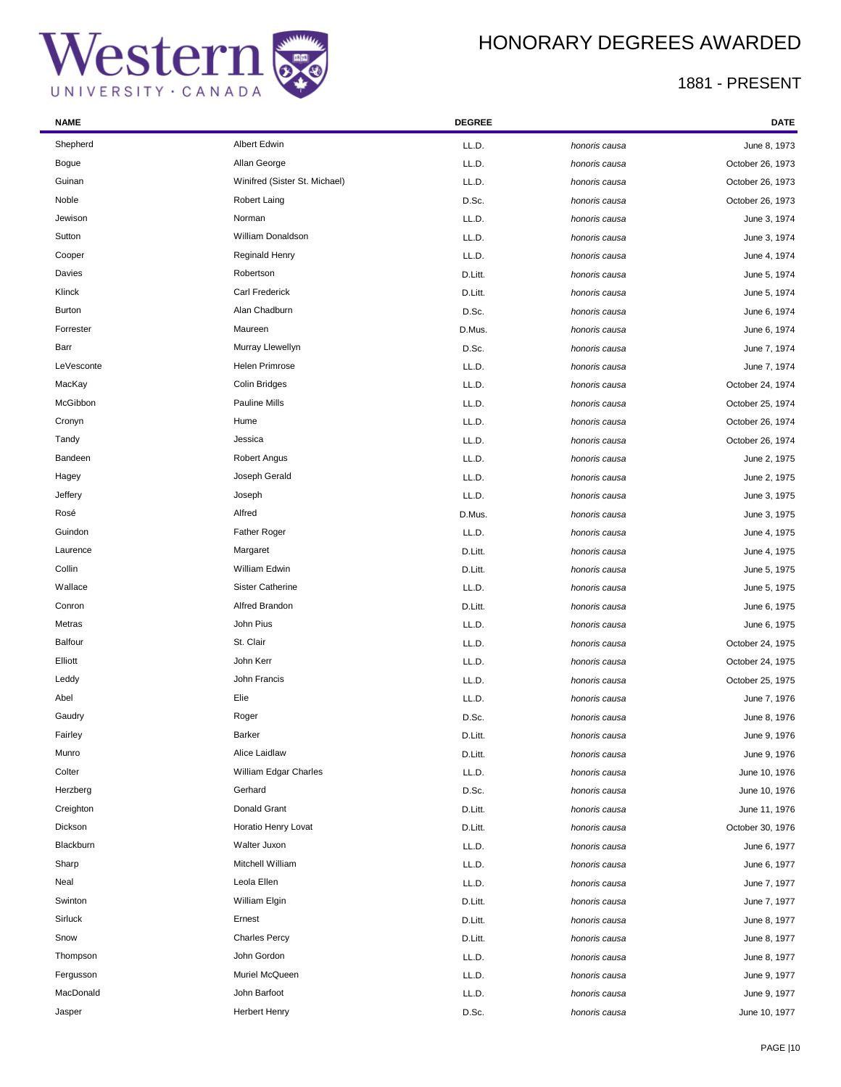## HONORARY DEGREES AWARDED

| <b>NAME</b>    |                               | <b>DEGREE</b> |               | DATE             |
|----------------|-------------------------------|---------------|---------------|------------------|
| Shepherd       | Albert Edwin                  | LL.D.         | honoris causa | June 8, 1973     |
| Bogue          | Allan George                  | LL.D.         | honoris causa | October 26, 1973 |
| Guinan         | Winifred (Sister St. Michael) | LL.D.         | honoris causa | October 26, 1973 |
| Noble          | Robert Laing                  | D.Sc.         | honoris causa | October 26, 1973 |
| Jewison        | Norman                        | LL.D.         | honoris causa | June 3, 1974     |
| Sutton         | William Donaldson             | LL.D.         | honoris causa | June 3, 1974     |
| Cooper         | Reginald Henry                | LL.D.         | honoris causa | June 4, 1974     |
| Davies         | Robertson                     | D.Litt.       | honoris causa | June 5, 1974     |
| Klinck         | <b>Carl Frederick</b>         | D.Litt.       | honoris causa | June 5, 1974     |
| <b>Burton</b>  | Alan Chadburn                 | D.Sc.         | honoris causa | June 6, 1974     |
| Forrester      | Maureen                       | D.Mus.        | honoris causa | June 6, 1974     |
| Barr           | Murray Llewellyn              | D.Sc.         | honoris causa | June 7, 1974     |
| LeVesconte     | Helen Primrose                | LL.D.         | honoris causa | June 7, 1974     |
| MacKay         | Colin Bridges                 | LL.D.         | honoris causa | October 24, 1974 |
| McGibbon       | Pauline Mills                 | LL.D.         | honoris causa | October 25, 1974 |
| Cronyn         | Hume                          | LL.D.         | honoris causa | October 26, 1974 |
| Tandy          | Jessica                       | LL.D.         | honoris causa | October 26, 1974 |
| Bandeen        | Robert Angus                  | LL.D.         | honoris causa | June 2, 1975     |
| Hagey          | Joseph Gerald                 | LL.D.         | honoris causa | June 2, 1975     |
| Jeffery        | Joseph                        | LL.D.         | honoris causa | June 3, 1975     |
| Rosé           | Alfred                        | D.Mus.        | honoris causa | June 3, 1975     |
| Guindon        | <b>Father Roger</b>           | LL.D.         | honoris causa | June 4, 1975     |
| Laurence       | Margaret                      | D.Litt.       | honoris causa | June 4, 1975     |
| Collin         | William Edwin                 | D.Litt.       | honoris causa | June 5, 1975     |
| Wallace        | <b>Sister Catherine</b>       | LL.D.         | honoris causa | June 5, 1975     |
| Conron         | Alfred Brandon                | D.Litt.       | honoris causa | June 6, 1975     |
| Metras         | John Pius                     | LL.D.         | honoris causa | June 6, 1975     |
| <b>Balfour</b> | St. Clair                     | LL.D.         | honoris causa | October 24, 1975 |
| Elliott        | John Kerr                     | LL.D.         | honoris causa | October 24, 1975 |
| Leddy          | John Francis                  | LL.D.         | honoris causa | October 25, 1975 |
| Abel           | Elie                          | LL.D.         | honoris causa | June 7, 1976     |
| Gaudry         | Roger                         | D.Sc.         | honoris causa | June 8, 1976     |
| Fairley        | Barker                        | D.Litt.       | honoris causa | June 9, 1976     |
| Munro          | Alice Laidlaw                 | D.Litt.       | honoris causa | June 9, 1976     |
| Colter         | William Edgar Charles         | LL.D.         | honoris causa | June 10, 1976    |
| Herzberg       | Gerhard                       | D.Sc.         | honoris causa | June 10, 1976    |
| Creighton      | Donald Grant                  | D.Litt.       | honoris causa | June 11, 1976    |
| Dickson        | Horatio Henry Lovat           | D.Litt.       | honoris causa | October 30, 1976 |
| Blackburn      | Walter Juxon                  | LL.D.         | honoris causa | June 6, 1977     |
| Sharp          | Mitchell William              | LL.D.         | honoris causa | June 6, 1977     |
| Neal           | Leola Ellen                   | LL.D.         | honoris causa | June 7, 1977     |
| Swinton        | William Elgin                 | D.Litt.       | honoris causa | June 7, 1977     |
| Sirluck        | Ernest                        | D.Litt.       | honoris causa | June 8, 1977     |
| Snow           | <b>Charles Percy</b>          | D.Litt.       | honoris causa | June 8, 1977     |
| Thompson       | John Gordon                   | LL.D.         | honoris causa | June 8, 1977     |
| Fergusson      | Muriel McQueen                | LL.D.         | honoris causa | June 9, 1977     |
| MacDonald      | John Barfoot                  | LL.D.         | honoris causa | June 9, 1977     |
| Jasper         | <b>Herbert Henry</b>          | D.Sc.         | honoris causa | June 10, 1977    |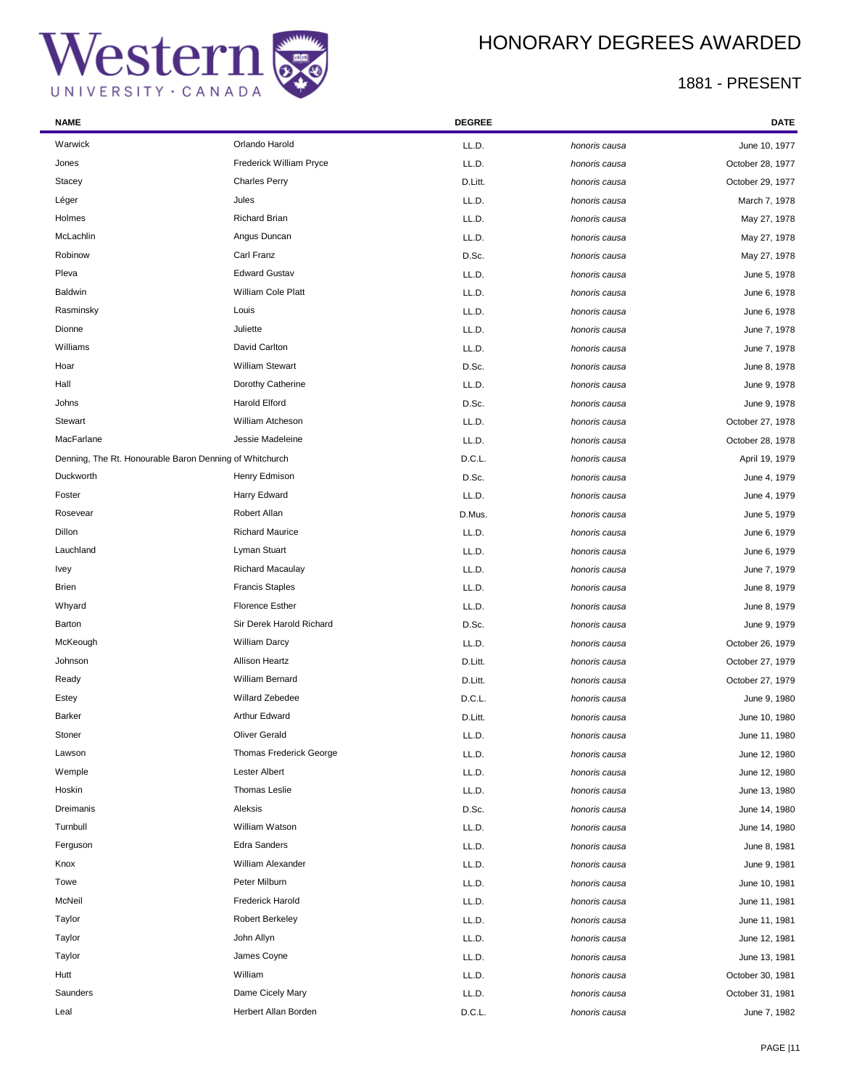÷

## HONORARY DEGREES AWARDED

| <b>NAME</b>                                             |                                | <b>DEGREE</b> |               | <b>DATE</b>      |
|---------------------------------------------------------|--------------------------------|---------------|---------------|------------------|
| Warwick                                                 | Orlando Harold                 | LL.D.         | honoris causa | June 10, 1977    |
| Jones                                                   | <b>Frederick William Pryce</b> | LL.D.         | honoris causa | October 28, 1977 |
| Stacey                                                  | <b>Charles Perry</b>           | D.Litt.       | honoris causa | October 29, 1977 |
| Léger                                                   | Jules                          | LL.D.         | honoris causa | March 7, 1978    |
| Holmes                                                  | <b>Richard Brian</b>           | LL.D.         | honoris causa | May 27, 1978     |
| McLachlin                                               | Angus Duncan                   | LL.D.         | honoris causa | May 27, 1978     |
| Robinow                                                 | Carl Franz                     | D.Sc.         | honoris causa | May 27, 1978     |
| Pleva                                                   | <b>Edward Gustav</b>           | LL.D.         | honoris causa | June 5, 1978     |
| Baldwin                                                 | William Cole Platt             | LL.D.         | honoris causa | June 6, 1978     |
| Rasminsky                                               | Louis                          | LL.D.         | honoris causa | June 6, 1978     |
| Dionne                                                  | Juliette                       | LL.D.         | honoris causa | June 7, 1978     |
| Williams                                                | David Carlton                  | LL.D.         | honoris causa | June 7, 1978     |
| Hoar                                                    | <b>William Stewart</b>         | D.Sc.         | honoris causa | June 8, 1978     |
| Hall                                                    | Dorothy Catherine              | LL.D.         | honoris causa | June 9, 1978     |
| Johns                                                   | Harold Elford                  | D.Sc.         | honoris causa | June 9, 1978     |
| Stewart                                                 | William Atcheson               | LL.D.         | honoris causa | October 27, 1978 |
| MacFarlane                                              | Jessie Madeleine               | LL.D.         | honoris causa | October 28, 1978 |
| Denning, The Rt. Honourable Baron Denning of Whitchurch |                                | D.C.L.        | honoris causa | April 19, 1979   |
| Duckworth                                               | Henry Edmison                  | D.Sc.         | honoris causa | June 4, 1979     |
| Foster                                                  | Harry Edward                   | LL.D.         | honoris causa | June 4, 1979     |
| Rosevear                                                | Robert Allan                   | D.Mus.        | honoris causa | June 5, 1979     |
| Dillon                                                  | <b>Richard Maurice</b>         | LL.D.         | honoris causa | June 6, 1979     |
| Lauchland                                               | Lyman Stuart                   | LL.D.         | honoris causa | June 6, 1979     |
| <b>Ivey</b>                                             | <b>Richard Macaulay</b>        | LL.D.         | honoris causa | June 7, 1979     |
| <b>Brien</b>                                            | <b>Francis Staples</b>         | LL.D.         | honoris causa | June 8, 1979     |
| Whyard                                                  | <b>Florence Esther</b>         | LL.D.         | honoris causa | June 8, 1979     |
| Barton                                                  | Sir Derek Harold Richard       | D.Sc.         | honoris causa | June 9, 1979     |
| McKeough                                                | <b>William Darcy</b>           | LL.D.         | honoris causa | October 26, 1979 |
| Johnson                                                 | <b>Allison Heartz</b>          | D.Litt.       | honoris causa | October 27, 1979 |
| Ready                                                   | William Bernard                | D.Litt.       | honoris causa | October 27, 1979 |
| Estey                                                   | Willard Zebedee                | D.C.L.        | honoris causa | June 9, 1980     |
| <b>Barker</b>                                           | Arthur Edward                  | D.Litt.       | honoris causa | June 10, 1980    |
| Stoner                                                  | <b>Oliver Gerald</b>           | LL.D.         | honoris causa | June 11, 1980    |
| Lawson                                                  | <b>Thomas Frederick George</b> | LL.D.         | honoris causa | June 12, 1980    |
| Wemple                                                  | Lester Albert                  | LL.D.         | honoris causa | June 12, 1980    |
| Hoskin                                                  | Thomas Leslie                  | LL.D.         | honoris causa | June 13, 1980    |
| Dreimanis                                               | Aleksis                        | D.Sc.         | honoris causa | June 14, 1980    |
| Turnbull                                                | William Watson                 | LL.D.         | honoris causa | June 14, 1980    |
| Ferguson                                                | <b>Edra Sanders</b>            | LL.D.         | honoris causa | June 8, 1981     |
| Knox                                                    | William Alexander              | LL.D.         | honoris causa | June 9, 1981     |
| Towe                                                    | Peter Milburn                  | LL.D.         | honoris causa | June 10, 1981    |
| McNeil                                                  | <b>Frederick Harold</b>        | LL.D.         | honoris causa | June 11, 1981    |
| Taylor                                                  | <b>Robert Berkeley</b>         | LL.D.         | honoris causa | June 11, 1981    |
| Taylor                                                  | John Allyn                     | LL.D.         | honoris causa | June 12, 1981    |
| Taylor                                                  | James Coyne                    | LL.D.         | honoris causa | June 13, 1981    |
| Hutt                                                    | William                        | LL.D.         | honoris causa | October 30, 1981 |
| Saunders                                                | Dame Cicely Mary               | LL.D.         | honoris causa | October 31, 1981 |
| Leal                                                    | Herbert Allan Borden           | D.C.L.        | honoris causa | June 7, 1982     |
|                                                         |                                |               |               |                  |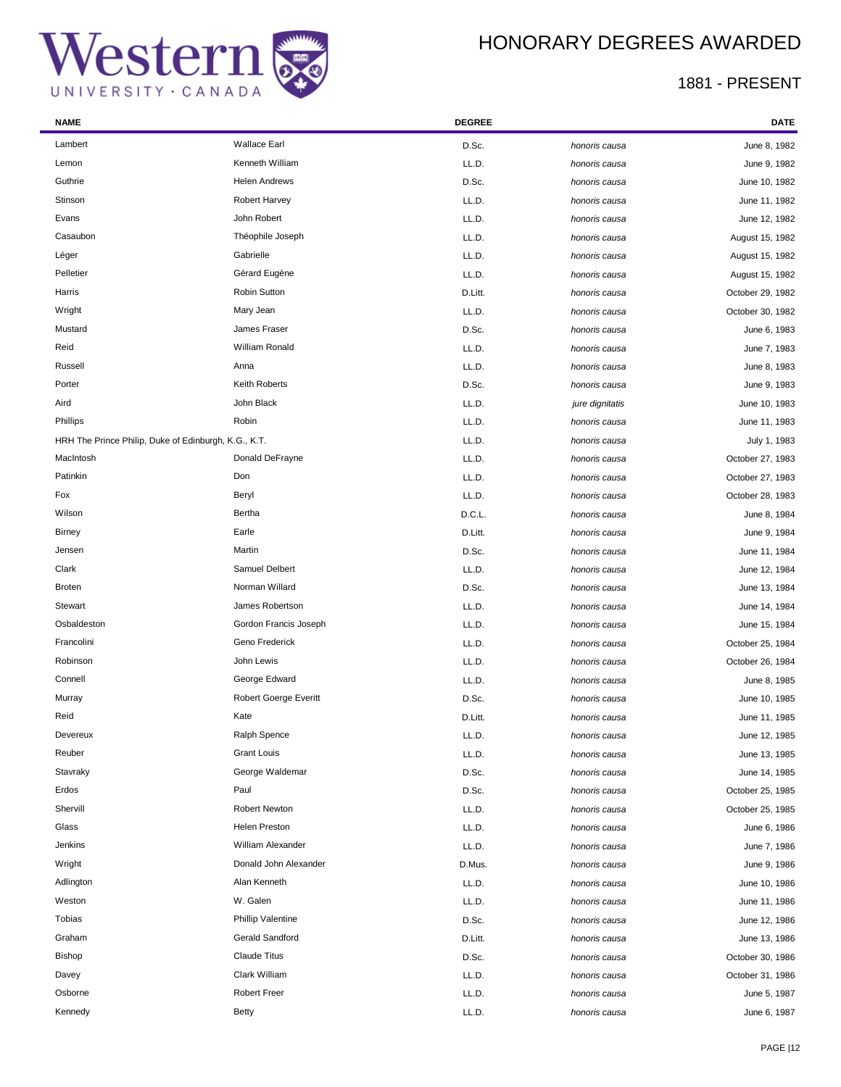## HONORARY DEGREES AWARDED

| <b>NAME</b>                                          |                          | <b>DEGREE</b> |                 | <b>DATE</b>      |
|------------------------------------------------------|--------------------------|---------------|-----------------|------------------|
| Lambert                                              | <b>Wallace Earl</b>      | D.Sc.         | honoris causa   | June 8, 1982     |
| Lemon                                                | Kenneth William          | LL.D.         | honoris causa   | June 9, 1982     |
| Guthrie                                              | <b>Helen Andrews</b>     | D.Sc.         | honoris causa   | June 10, 1982    |
| Stinson                                              | <b>Robert Harvey</b>     | LL.D.         | honoris causa   | June 11, 1982    |
| Evans                                                | John Robert              | LL.D.         | honoris causa   | June 12, 1982    |
| Casaubon                                             | Théophile Joseph         | LL.D.         | honoris causa   | August 15, 1982  |
| Léger                                                | Gabrielle                | LL.D.         | honoris causa   | August 15, 1982  |
| Pelletier                                            | Gérard Eugène            | LL.D.         | honoris causa   | August 15, 1982  |
| Harris                                               | Robin Sutton             | D.Litt.       | honoris causa   | October 29, 1982 |
| Wright                                               | Mary Jean                | LL.D.         | honoris causa   | October 30, 1982 |
| Mustard                                              | James Fraser             | D.Sc.         | honoris causa   | June 6, 1983     |
| Reid                                                 | William Ronald           | LL.D.         | honoris causa   | June 7, 1983     |
| Russell                                              | Anna                     | LL.D.         | honoris causa   | June 8, 1983     |
| Porter                                               | Keith Roberts            | D.Sc.         | honoris causa   | June 9, 1983     |
| Aird                                                 | John Black               | LL.D.         | jure dignitatis | June 10, 1983    |
| Phillips                                             | Robin                    | LL.D.         | honoris causa   | June 11, 1983    |
| HRH The Prince Philip, Duke of Edinburgh, K.G., K.T. |                          | LL.D.         | honoris causa   | July 1, 1983     |
| MacIntosh                                            | Donald DeFrayne          | LL.D.         | honoris causa   | October 27, 1983 |
| Patinkin                                             | Don                      | LL.D.         | honoris causa   | October 27, 1983 |
| Fox                                                  | Beryl                    | LL.D.         | honoris causa   | October 28, 1983 |
| Wilson                                               | Bertha                   | D.C.L.        | honoris causa   | June 8, 1984     |
| <b>Birney</b>                                        | Earle                    | D.Litt.       | honoris causa   | June 9, 1984     |
| Jensen                                               | Martin                   | D.Sc.         | honoris causa   | June 11, 1984    |
| Clark                                                | Samuel Delbert           | LL.D.         | honoris causa   | June 12, 1984    |
| <b>Broten</b>                                        | Norman Willard           | D.Sc.         | honoris causa   | June 13, 1984    |
| Stewart                                              | James Robertson          | LL.D.         | honoris causa   | June 14, 1984    |
| Osbaldeston                                          | Gordon Francis Joseph    | LL.D.         | honoris causa   | June 15, 1984    |
| Francolini                                           | Geno Frederick           | LL.D.         | honoris causa   | October 25, 1984 |
| Robinson                                             | John Lewis               | LL.D.         | honoris causa   | October 26, 1984 |
| Connell                                              | George Edward            | LL.D.         | honoris causa   | June 8, 1985     |
| Murray                                               | Robert Goerge Everitt    | D.Sc.         | honoris causa   | June 10, 1985    |
| Reid                                                 | Kate                     | D.Litt.       | honoris causa   | June 11, 1985    |
| Devereux                                             | Ralph Spence             | LL.D.         | honoris causa   | June 12, 1985    |
| Reuber                                               | <b>Grant Louis</b>       | LL.D.         | honoris causa   | June 13, 1985    |
| Stavraky                                             | George Waldemar          | D.Sc.         | honoris causa   | June 14, 1985    |
| Erdos                                                | Paul                     | D.Sc.         | honoris causa   | October 25, 1985 |
| Shervill                                             | <b>Robert Newton</b>     | LL.D.         | honoris causa   | October 25, 1985 |
| Glass                                                | Helen Preston            | LL.D.         | honoris causa   | June 6, 1986     |
| Jenkins                                              | William Alexander        | LL.D.         | honoris causa   | June 7, 1986     |
| Wright                                               | Donald John Alexander    | D.Mus.        | honoris causa   | June 9, 1986     |
| Adlington                                            | Alan Kenneth             | LL.D.         | honoris causa   | June 10, 1986    |
| Weston                                               | W. Galen                 | LL.D.         | honoris causa   | June 11, 1986    |
| Tobias                                               | <b>Phillip Valentine</b> | D.Sc.         | honoris causa   | June 12, 1986    |
| Graham                                               | Gerald Sandford          | D.Litt.       | honoris causa   | June 13, 1986    |
| <b>Bishop</b>                                        | <b>Claude Titus</b>      | D.Sc.         | honoris causa   | October 30, 1986 |
| Davey                                                | Clark William            | LL.D.         | honoris causa   | October 31, 1986 |
| Osborne                                              | <b>Robert Freer</b>      | LL.D.         | honoris causa   | June 5, 1987     |
| Kennedy                                              | <b>Betty</b>             | LL.D.         | honoris causa   | June 6, 1987     |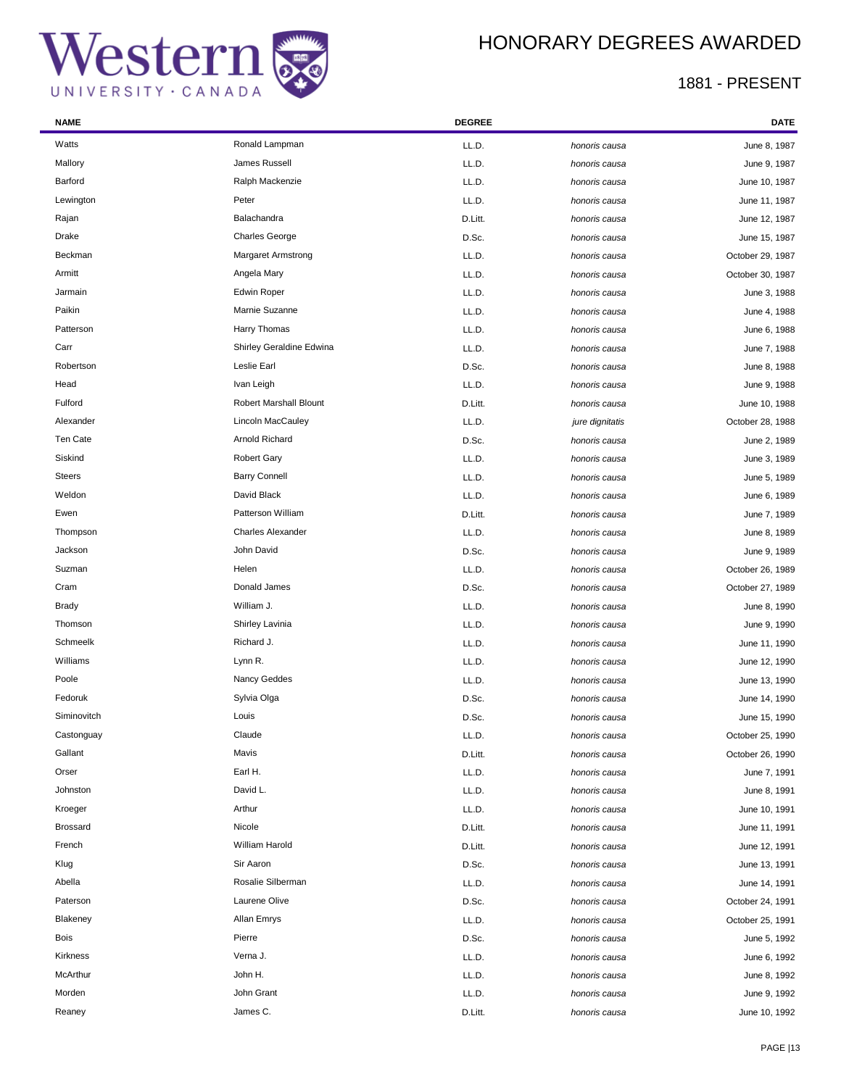÷

## HONORARY DEGREES AWARDED

| <b>NAME</b>     |                               | <b>DEGREE</b> |                 | <b>DATE</b>      |
|-----------------|-------------------------------|---------------|-----------------|------------------|
| Watts           | Ronald Lampman                | LL.D.         | honoris causa   | June 8, 1987     |
| Mallory         | James Russell                 | LL.D.         | honoris causa   | June 9, 1987     |
| Barford         | Ralph Mackenzie               | LL.D.         | honoris causa   | June 10, 1987    |
| Lewington       | Peter                         | LL.D.         | honoris causa   | June 11, 1987    |
| Rajan           | Balachandra                   | D.Litt.       | honoris causa   | June 12, 1987    |
| Drake           | <b>Charles George</b>         | D.Sc.         | honoris causa   | June 15, 1987    |
| Beckman         | <b>Margaret Armstrong</b>     | LL.D.         | honoris causa   | October 29, 1987 |
| Armitt          | Angela Mary                   | LL.D.         | honoris causa   | October 30, 1987 |
| Jarmain         | <b>Edwin Roper</b>            | LL.D.         | honoris causa   | June 3, 1988     |
| Paikin          | Marnie Suzanne                | LL.D.         | honoris causa   | June 4, 1988     |
| Patterson       | Harry Thomas                  | LL.D.         | honoris causa   | June 6, 1988     |
| Carr            | Shirley Geraldine Edwina      | LL.D.         | honoris causa   | June 7, 1988     |
| Robertson       | Leslie Earl                   | D.Sc.         | honoris causa   | June 8, 1988     |
| Head            | Ivan Leigh                    | LL.D.         | honoris causa   | June 9, 1988     |
| Fulford         | <b>Robert Marshall Blount</b> | D.Litt.       | honoris causa   | June 10, 1988    |
| Alexander       | Lincoln MacCauley             | LL.D.         | jure dignitatis | October 28, 1988 |
| Ten Cate        | Arnold Richard                | D.Sc.         | honoris causa   | June 2, 1989     |
| Siskind         | <b>Robert Gary</b>            | LL.D.         | honoris causa   | June 3, 1989     |
| <b>Steers</b>   | <b>Barry Connell</b>          | LL.D.         | honoris causa   | June 5, 1989     |
| Weldon          | David Black                   | LL.D.         | honoris causa   | June 6, 1989     |
| Ewen            | Patterson William             | D.Litt.       | honoris causa   | June 7, 1989     |
| Thompson        | <b>Charles Alexander</b>      | LL.D.         | honoris causa   | June 8, 1989     |
| Jackson         | John David                    | D.Sc.         | honoris causa   | June 9, 1989     |
| Suzman          | Helen                         | LL.D.         | honoris causa   | October 26, 1989 |
| Cram            | Donald James                  | D.Sc.         | honoris causa   | October 27, 1989 |
| <b>Brady</b>    | William J.                    | LL.D.         | honoris causa   | June 8, 1990     |
| Thomson         | Shirley Lavinia               | LL.D.         | honoris causa   | June 9, 1990     |
| Schmeelk        | Richard J.                    | LL.D.         | honoris causa   | June 11, 1990    |
| Williams        | Lynn R.                       | LL.D.         | honoris causa   | June 12, 1990    |
| Poole           | Nancy Geddes                  | LL.D.         | honoris causa   | June 13, 1990    |
| Fedoruk         | Sylvia Olga                   | D.Sc.         | honoris causa   | June 14, 1990    |
| Siminovitch     | Louis                         | D.Sc.         | honoris causa   | June 15, 1990    |
| Castonguay      | Claude                        | LL.D.         | honoris causa   | October 25, 1990 |
| Gallant         | Mavis                         | D.Litt.       | honoris causa   | October 26, 1990 |
| Orser           | Earl H.                       | LL.D.         | honoris causa   | June 7, 1991     |
| Johnston        | David L.                      | LL.D.         | honoris causa   | June 8, 1991     |
| Kroeger         | Arthur                        | LL.D.         | honoris causa   | June 10, 1991    |
| <b>Brossard</b> | Nicole                        | D.Litt.       | honoris causa   | June 11, 1991    |
| French          | William Harold                | D.Litt.       | honoris causa   | June 12, 1991    |
| Klug            | Sir Aaron                     | D.Sc.         | honoris causa   | June 13, 1991    |
| Abella          | Rosalie Silberman             | LL.D.         | honoris causa   | June 14, 1991    |
| Paterson        | Laurene Olive                 | D.Sc.         | honoris causa   | October 24, 1991 |
| Blakeney        | Allan Emrys                   | LL.D.         | honoris causa   | October 25, 1991 |
| Bois            | Pierre                        | D.Sc.         | honoris causa   | June 5, 1992     |
| Kirkness        | Verna J.                      | LL.D.         | honoris causa   | June 6, 1992     |
| McArthur        | John H.                       | LL.D.         | honoris causa   | June 8, 1992     |
| Morden          | John Grant                    | LL.D.         | honoris causa   | June 9, 1992     |
| Reaney          | James C.                      | D.Litt.       | honoris causa   | June 10, 1992    |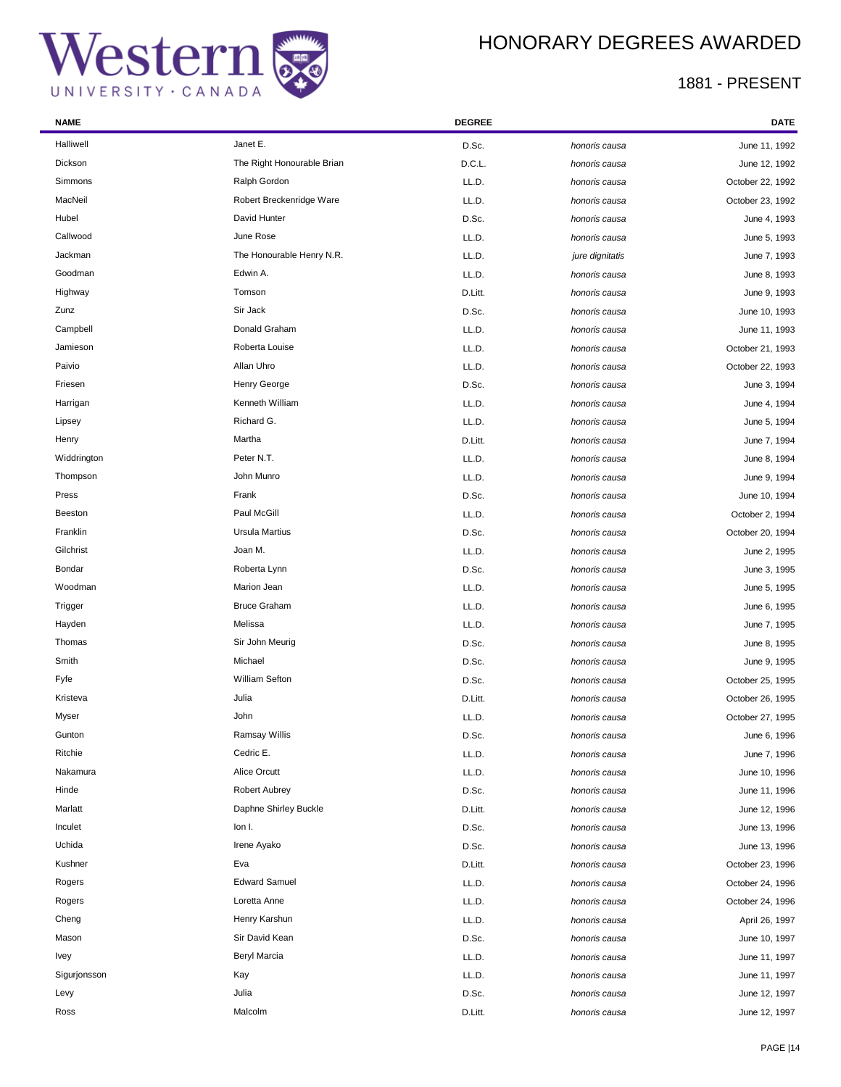### HONORARY DEGREES AWARDED

| <b>NAME</b>    |                            | <b>DEGREE</b> |                 | DATE             |
|----------------|----------------------------|---------------|-----------------|------------------|
| Halliwell      | Janet E.                   | D.Sc.         | honoris causa   | June 11, 1992    |
| Dickson        | The Right Honourable Brian | D.C.L.        | honoris causa   | June 12, 1992    |
| Simmons        | Ralph Gordon               | LL.D.         | honoris causa   | October 22, 1992 |
| MacNeil        | Robert Breckenridge Ware   | LL.D.         | honoris causa   | October 23, 1992 |
| Hubel          | David Hunter               | D.Sc.         | honoris causa   | June 4, 1993     |
| Callwood       | June Rose                  | LL.D.         | honoris causa   | June 5, 1993     |
| Jackman        | The Honourable Henry N.R.  | LL.D.         | jure dignitatis | June 7, 1993     |
| Goodman        | Edwin A.                   | LL.D.         | honoris causa   | June 8, 1993     |
| Highway        | Tomson                     | D.Litt.       | honoris causa   | June 9, 1993     |
| Zunz           | Sir Jack                   | D.Sc.         | honoris causa   | June 10, 1993    |
| Campbell       | Donald Graham              | LL.D.         | honoris causa   | June 11, 1993    |
| Jamieson       | Roberta Louise             | LL.D.         | honoris causa   | October 21, 1993 |
| Paivio         | Allan Uhro                 | LL.D.         | honoris causa   | October 22, 1993 |
| Friesen        | Henry George               | D.Sc.         | honoris causa   | June 3, 1994     |
| Harrigan       | Kenneth William            | LL.D.         | honoris causa   | June 4, 1994     |
| Lipsey         | Richard G.                 | LL.D.         | honoris causa   | June 5, 1994     |
| Henry          | Martha                     | D.Litt.       | honoris causa   | June 7, 1994     |
| Widdrington    | Peter N.T.                 | LL.D.         | honoris causa   | June 8, 1994     |
| Thompson       | John Munro                 | LL.D.         | honoris causa   | June 9, 1994     |
| Press          | Frank                      | D.Sc.         | honoris causa   | June 10, 1994    |
| <b>Beeston</b> | Paul McGill                | LL.D.         | honoris causa   | October 2, 1994  |
| Franklin       | <b>Ursula Martius</b>      | D.Sc.         | honoris causa   | October 20, 1994 |
| Gilchrist      | Joan M.                    | LL.D.         | honoris causa   | June 2, 1995     |
| Bondar         | Roberta Lynn               | D.Sc.         | honoris causa   | June 3, 1995     |
| Woodman        | Marion Jean                | LL.D.         | honoris causa   | June 5, 1995     |
| Trigger        | <b>Bruce Graham</b>        | LL.D.         | honoris causa   | June 6, 1995     |
| Hayden         | Melissa                    | LL.D.         | honoris causa   | June 7, 1995     |
| Thomas         | Sir John Meurig            | D.Sc.         | honoris causa   | June 8, 1995     |
| Smith          | Michael                    | D.Sc.         | honoris causa   | June 9, 1995     |
| Fyfe           | <b>William Sefton</b>      | D.Sc.         | honoris causa   | October 25, 1995 |
| Kristeva       | Julia                      | D.Litt.       | honoris causa   | October 26, 1995 |
| Myser          | John                       | LL.D.         | honoris causa   | October 27, 1995 |
| Gunton         | Ramsay Willis              | D.Sc.         | honoris causa   | June 6, 1996     |
| Ritchie        | Cedric E.                  | LL.D.         | honoris causa   | June 7, 1996     |
| Nakamura       | Alice Orcutt               | LL.D.         | honoris causa   | June 10, 1996    |
| Hinde          | <b>Robert Aubrey</b>       | D.Sc.         | honoris causa   | June 11, 1996    |
| Marlatt        | Daphne Shirley Buckle      | D.Litt.       | honoris causa   | June 12, 1996    |
| Inculet        | lon I.                     | D.Sc.         | honoris causa   | June 13, 1996    |
| Uchida         | Irene Ayako                | D.Sc.         | honoris causa   | June 13, 1996    |
| Kushner        | Eva                        | D.Litt.       | honoris causa   | October 23, 1996 |
| Rogers         | <b>Edward Samuel</b>       | LL.D.         | honoris causa   | October 24, 1996 |
| Rogers         | Loretta Anne               | LL.D.         | honoris causa   | October 24, 1996 |
| Cheng          | Henry Karshun              | LL.D.         | honoris causa   | April 26, 1997   |
| Mason          | Sir David Kean             | D.Sc.         | honoris causa   | June 10, 1997    |
| Ivey           | Beryl Marcia               | LL.D.         | honoris causa   | June 11, 1997    |
| Sigurjonsson   | Kay                        | LL.D.         | honoris causa   | June 11, 1997    |
| Levy           | Julia                      | D.Sc.         | honoris causa   | June 12, 1997    |
| Ross           | Malcolm                    | D.Litt.       | honoris causa   | June 12, 1997    |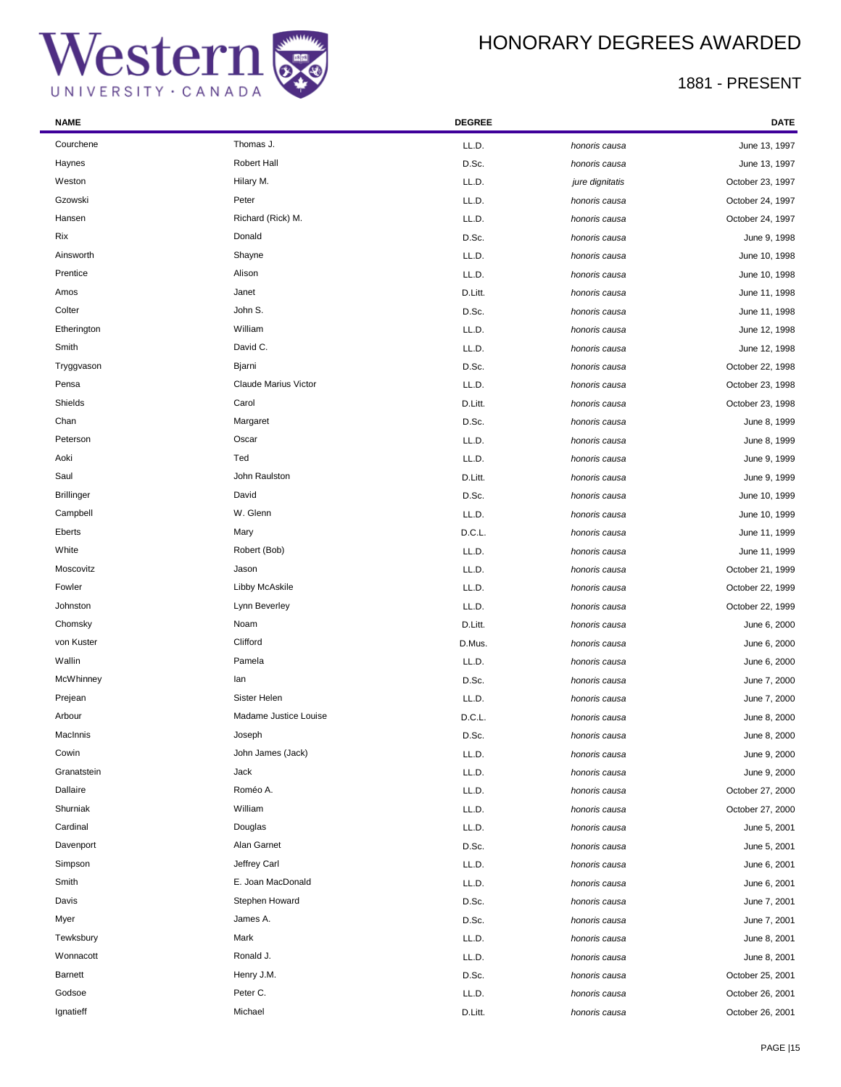÷

## HONORARY DEGREES AWARDED

| <b>NAME</b>       |                       | <b>DEGREE</b> |                 | <b>DATE</b>      |
|-------------------|-----------------------|---------------|-----------------|------------------|
| Courchene         | Thomas J.             | LL.D.         | honoris causa   | June 13, 1997    |
| Haynes            | <b>Robert Hall</b>    | D.Sc.         | honoris causa   | June 13, 1997    |
| Weston            | Hilary M.             | LL.D.         | jure dignitatis | October 23, 1997 |
| Gzowski           | Peter                 | LL.D.         | honoris causa   | October 24, 1997 |
| Hansen            | Richard (Rick) M.     | LL.D.         | honoris causa   | October 24, 1997 |
| Rix               | Donald                | D.Sc.         | honoris causa   | June 9, 1998     |
| Ainsworth         | Shayne                | LL.D.         | honoris causa   | June 10, 1998    |
| Prentice          | Alison                | LL.D.         | honoris causa   | June 10, 1998    |
| Amos              | Janet                 | D.Litt.       | honoris causa   | June 11, 1998    |
| Colter            | John S.               | D.Sc.         | honoris causa   | June 11, 1998    |
| Etherington       | William               | LL.D.         | honoris causa   | June 12, 1998    |
| Smith             | David C.              | LL.D.         | honoris causa   | June 12, 1998    |
| Tryggvason        | Bjarni                | D.Sc.         | honoris causa   | October 22, 1998 |
| Pensa             | Claude Marius Victor  | LL.D.         | honoris causa   | October 23, 1998 |
| Shields           | Carol                 | D.Litt.       | honoris causa   | October 23, 1998 |
| Chan              | Margaret              | D.Sc.         | honoris causa   | June 8, 1999     |
| Peterson          | Oscar                 | LL.D.         | honoris causa   | June 8, 1999     |
| Aoki              | Ted                   | LL.D.         | honoris causa   | June 9, 1999     |
| Saul              | John Raulston         | D.Litt.       | honoris causa   | June 9, 1999     |
| <b>Brillinger</b> | David                 | D.Sc.         | honoris causa   | June 10, 1999    |
| Campbell          | W. Glenn              | LL.D.         | honoris causa   | June 10, 1999    |
| Eberts            | Mary                  | D.C.L.        | honoris causa   | June 11, 1999    |
| White             | Robert (Bob)          | LL.D.         | honoris causa   | June 11, 1999    |
| Moscovitz         | Jason                 | LL.D.         | honoris causa   | October 21, 1999 |
| Fowler            | Libby McAskile        | LL.D.         | honoris causa   | October 22, 1999 |
| Johnston          | Lynn Beverley         | LL.D.         | honoris causa   | October 22, 1999 |
| Chomsky           | Noam                  | D.Litt.       | honoris causa   | June 6, 2000     |
| von Kuster        | Clifford              | D.Mus.        | honoris causa   | June 6, 2000     |
| Wallin            | Pamela                | LL.D.         | honoris causa   | June 6, 2000     |
| McWhinney         | lan                   | D.Sc.         | honoris causa   | June 7, 2000     |
| Prejean           | Sister Helen          | LL.D.         | honoris causa   | June 7, 2000     |
| Arbour            | Madame Justice Louise | D.C.L.        | honoris causa   | June 8, 2000     |
| MacInnis          | Joseph                | D.Sc.         | honoris causa   | June 8, 2000     |
| Cowin             | John James (Jack)     | LL.D.         | honoris causa   | June 9, 2000     |
| Granatstein       | Jack                  | LL.D.         | honoris causa   | June 9, 2000     |
| Dallaire          | Roméo A.              | LL.D.         | honoris causa   | October 27, 2000 |
| Shurniak          | William               | LL.D.         | honoris causa   | October 27, 2000 |
| Cardinal          | Douglas               | LL.D.         | honoris causa   | June 5, 2001     |
| Davenport         | Alan Garnet           | D.Sc.         | honoris causa   | June 5, 2001     |
| Simpson           | Jeffrey Carl          | LL.D.         | honoris causa   | June 6, 2001     |
| Smith             | E. Joan MacDonald     | LL.D.         | honoris causa   | June 6, 2001     |
| Davis             | Stephen Howard        | D.Sc.         | honoris causa   | June 7, 2001     |
| Myer              | James A.              | D.Sc.         | honoris causa   | June 7, 2001     |
| Tewksbury         | Mark                  | LL.D.         | honoris causa   | June 8, 2001     |
| Wonnacott         | Ronald J.             | LL.D.         | honoris causa   | June 8, 2001     |
| <b>Barnett</b>    | Henry J.M.            | D.Sc.         | honoris causa   | October 25, 2001 |
| Godsoe            | Peter C.              | LL.D.         | honoris causa   | October 26, 2001 |
| Ignatieff         | Michael               | D.Litt.       | honoris causa   | October 26, 2001 |
|                   |                       |               |                 |                  |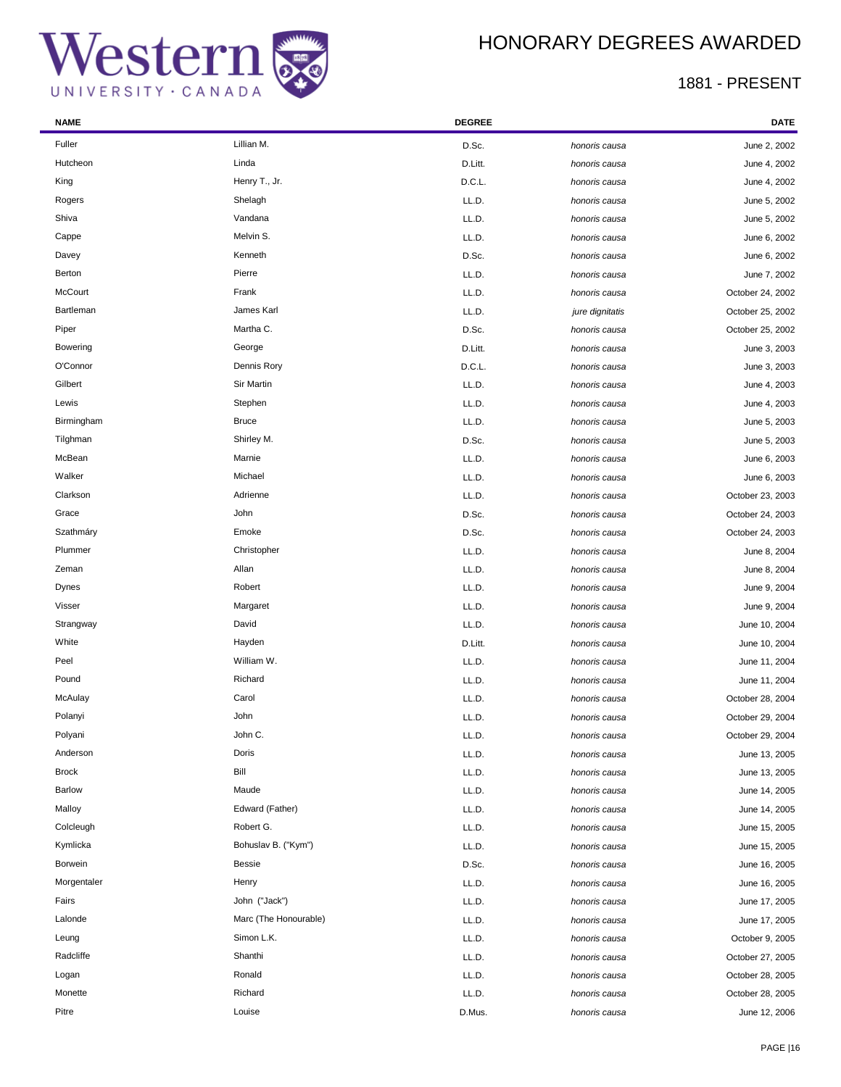## HONORARY DEGREES AWARDED

| <b>NAME</b>   |                       | <b>DEGREE</b> |                 | DATE             |
|---------------|-----------------------|---------------|-----------------|------------------|
| Fuller        | Lillian M.            | D.Sc.         | honoris causa   | June 2, 2002     |
| Hutcheon      | Linda                 | D.Litt.       | honoris causa   | June 4, 2002     |
| King          | Henry T., Jr.         | D.C.L.        | honoris causa   | June 4, 2002     |
| Rogers        | Shelagh               | LL.D.         | honoris causa   | June 5, 2002     |
| Shiva         | Vandana               | LL.D.         | honoris causa   | June 5, 2002     |
| Cappe         | Melvin S.             | LL.D.         | honoris causa   | June 6, 2002     |
| Davey         | Kenneth               | D.Sc.         | honoris causa   | June 6, 2002     |
| Berton        | Pierre                | LL.D.         | honoris causa   | June 7, 2002     |
| McCourt       | Frank                 | LL.D.         | honoris causa   | October 24, 2002 |
| Bartleman     | James Karl            | LL.D.         | jure dignitatis | October 25, 2002 |
| Piper         | Martha C.             | D.Sc.         | honoris causa   | October 25, 2002 |
| Bowering      | George                | D.Litt.       | honoris causa   | June 3, 2003     |
| O'Connor      | Dennis Rory           | D.C.L.        | honoris causa   | June 3, 2003     |
| Gilbert       | Sir Martin            | LL.D.         | honoris causa   | June 4, 2003     |
| Lewis         | Stephen               | LL.D.         | honoris causa   | June 4, 2003     |
| Birmingham    | <b>Bruce</b>          | LL.D.         | honoris causa   | June 5, 2003     |
| Tilghman      | Shirley M.            | D.Sc.         | honoris causa   | June 5, 2003     |
| McBean        | Marnie                | LL.D.         | honoris causa   | June 6, 2003     |
| Walker        | Michael               | LL.D.         | honoris causa   | June 6, 2003     |
| Clarkson      | Adrienne              | LL.D.         | honoris causa   | October 23, 2003 |
| Grace         | John                  | D.Sc.         | honoris causa   | October 24, 2003 |
| Szathmáry     | Emoke                 | D.Sc.         | honoris causa   | October 24, 2003 |
| Plummer       | Christopher           | LL.D.         | honoris causa   | June 8, 2004     |
| Zeman         | Allan                 | LL.D.         | honoris causa   | June 8, 2004     |
| Dynes         | Robert                | LL.D.         | honoris causa   | June 9, 2004     |
| Visser        | Margaret              | LL.D.         | honoris causa   | June 9, 2004     |
| Strangway     | David                 | LL.D.         | honoris causa   | June 10, 2004    |
| White         | Hayden                | D.Litt.       | honoris causa   | June 10, 2004    |
| Peel          | William W.            | LL.D.         | honoris causa   | June 11, 2004    |
| Pound         | Richard               | LL.D.         | honoris causa   | June 11, 2004    |
| McAulay       | Carol                 | LL.D.         | honoris causa   | October 28, 2004 |
| Polanyi       | John                  | LL.D.         | honoris causa   | October 29, 2004 |
| Polyani       | John C.               | LL.D.         | honoris causa   | October 29, 2004 |
| Anderson      | Doris                 | LL.D.         | honoris causa   | June 13, 2005    |
| <b>Brock</b>  | Bill                  | LL.D.         | honoris causa   | June 13, 2005    |
| <b>Barlow</b> | Maude                 | LL.D.         | honoris causa   | June 14, 2005    |
| Malloy        | Edward (Father)       | LL.D.         | honoris causa   | June 14, 2005    |
| Colcleugh     | Robert G.             | LL.D.         | honoris causa   | June 15, 2005    |
| Kymlicka      | Bohuslav B. ("Kym")   | LL.D.         | honoris causa   | June 15, 2005    |
| Borwein       | <b>Bessie</b>         | D.Sc.         | honoris causa   | June 16, 2005    |
| Morgentaler   | Henry                 | LL.D.         | honoris causa   | June 16, 2005    |
| Fairs         | John ("Jack")         | LL.D.         | honoris causa   | June 17, 2005    |
| Lalonde       | Marc (The Honourable) | LL.D.         | honoris causa   | June 17, 2005    |
| Leung         | Simon L.K.            | LL.D.         | honoris causa   | October 9, 2005  |
| Radcliffe     | Shanthi               | LL.D.         | honoris causa   | October 27, 2005 |
| Logan         | Ronald                | LL.D.         | honoris causa   | October 28, 2005 |
| Monette       | Richard               | LL.D.         | honoris causa   | October 28, 2005 |
| Pitre         | Louise                | D.Mus.        | honoris causa   | June 12, 2006    |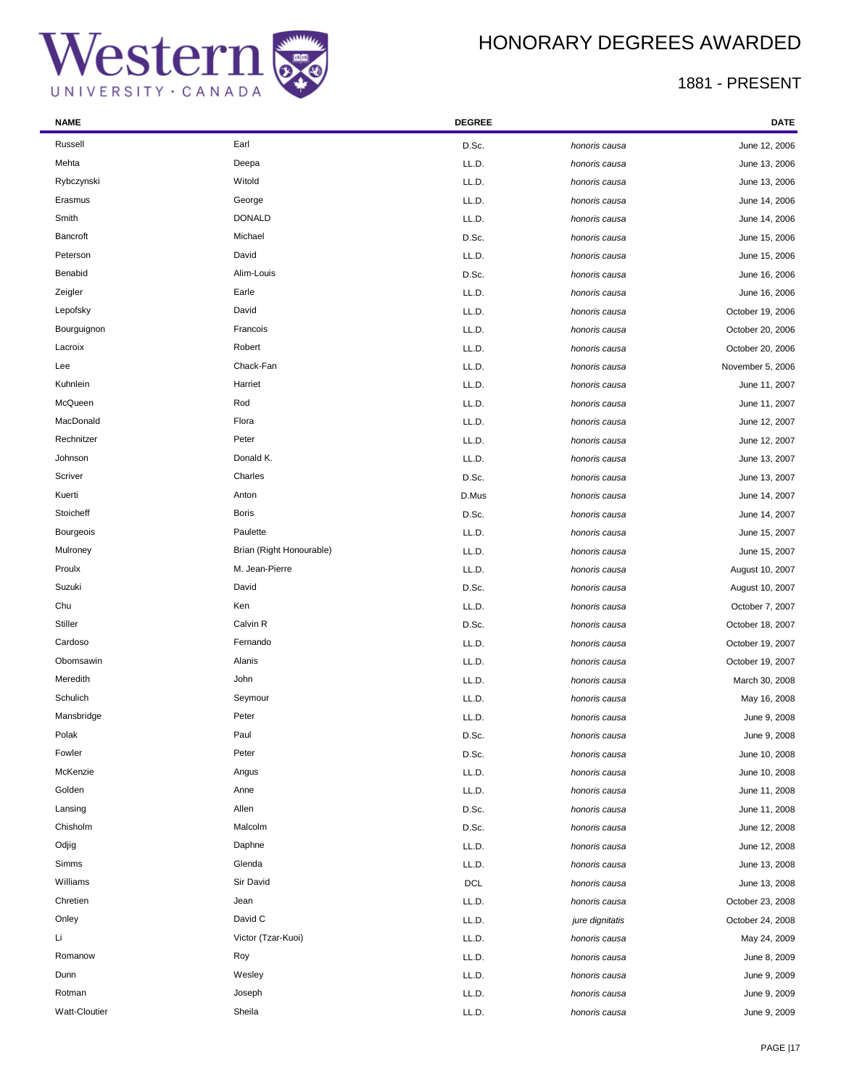## HONORARY DEGREES AWARDED

| <b>NAME</b>     |                          | <b>DEGREE</b> |                 | DATE             |
|-----------------|--------------------------|---------------|-----------------|------------------|
| Russell         | Earl                     | D.Sc.         | honoris causa   | June 12, 2006    |
| Mehta           | Deepa                    | LL.D.         | honoris causa   | June 13, 2006    |
| Rybczynski      | Witold                   | LL.D.         | honoris causa   | June 13, 2006    |
| Erasmus         | George                   | LL.D.         | honoris causa   | June 14, 2006    |
| Smith           | <b>DONALD</b>            | LL.D.         | honoris causa   | June 14, 2006    |
| <b>Bancroft</b> | Michael                  | D.Sc.         | honoris causa   | June 15, 2006    |
| Peterson        | David                    | LL.D.         | honoris causa   | June 15, 2006    |
| Benabid         | Alim-Louis               | D.Sc.         | honoris causa   | June 16, 2006    |
| Zeigler         | Earle                    | LL.D.         | honoris causa   | June 16, 2006    |
| Lepofsky        | David                    | LL.D.         | honoris causa   | October 19, 2006 |
| Bourguignon     | Francois                 | LL.D.         | honoris causa   | October 20, 2006 |
| Lacroix         | Robert                   | LL.D.         | honoris causa   | October 20, 2006 |
| Lee             | Chack-Fan                | LL.D.         | honoris causa   | November 5, 2006 |
| Kuhnlein        | Harriet                  | LL.D.         | honoris causa   | June 11, 2007    |
| McQueen         | Rod                      | LL.D.         | honoris causa   | June 11, 2007    |
| MacDonald       | Flora                    | LL.D.         | honoris causa   | June 12, 2007    |
| Rechnitzer      | Peter                    | LL.D.         | honoris causa   | June 12, 2007    |
| Johnson         | Donald K.                | LL.D.         | honoris causa   | June 13, 2007    |
| Scriver         | Charles                  | D.Sc.         | honoris causa   | June 13, 2007    |
| Kuerti          | Anton                    | D.Mus         | honoris causa   | June 14, 2007    |
| Stoicheff       | <b>Boris</b>             | D.Sc.         | honoris causa   | June 14, 2007    |
| Bourgeois       | Paulette                 | LL.D.         | honoris causa   | June 15, 2007    |
| Mulroney        | Brian (Right Honourable) | LL.D.         | honoris causa   | June 15, 2007    |
| Proulx          | M. Jean-Pierre           | LL.D.         | honoris causa   | August 10, 2007  |
| Suzuki          | David                    | D.Sc.         | honoris causa   | August 10, 2007  |
| Chu             | Ken                      | LL.D.         | honoris causa   | October 7, 2007  |
| Stiller         | Calvin R                 | D.Sc.         | honoris causa   | October 18, 2007 |
| Cardoso         | Fernando                 | LL.D.         | honoris causa   | October 19, 2007 |
| Obomsawin       | Alanis                   | LL.D.         | honoris causa   | October 19, 2007 |
| Meredith        | John                     | LL.D.         | honoris causa   | March 30, 2008   |
| Schulich        | Seymour                  | LL.D.         | honoris causa   | May 16, 2008     |
| Mansbridge      | Peter                    | LL.D.         | honoris causa   | June 9, 2008     |
| Polak           | Paul                     | D.Sc.         | honoris causa   | June 9, 2008     |
| Fowler          | Peter                    | D.Sc.         | honoris causa   | June 10, 2008    |
| McKenzie        | Angus                    | LL.D.         | honoris causa   | June 10, 2008    |
| Golden          | Anne                     | LL.D.         | honoris causa   | June 11, 2008    |
| Lansing         | Allen                    | D.Sc.         | honoris causa   | June 11, 2008    |
| Chisholm        | Malcolm                  | D.Sc.         | honoris causa   | June 12, 2008    |
| Odjig           | Daphne                   | LL.D.         | honoris causa   | June 12, 2008    |
| Simms           | Glenda                   | LL.D.         | honoris causa   | June 13, 2008    |
| Williams        | Sir David                | DCL           | honoris causa   | June 13, 2008    |
| Chretien        | Jean                     | LL.D.         | honoris causa   | October 23, 2008 |
| Onley           | David C                  | LL.D.         | jure dignitatis | October 24, 2008 |
| Li              | Victor (Tzar-Kuoi)       | LL.D.         | honoris causa   | May 24, 2009     |
| Romanow         | Roy                      | LL.D.         | honoris causa   | June 8, 2009     |
| Dunn            | Wesley                   | LL.D.         | honoris causa   | June 9, 2009     |
| Rotman          | Joseph                   | LL.D.         | honoris causa   | June 9, 2009     |
| Watt-Cloutier   | Sheila                   | LL.D.         | honoris causa   | June 9, 2009     |
|                 |                          |               |                 |                  |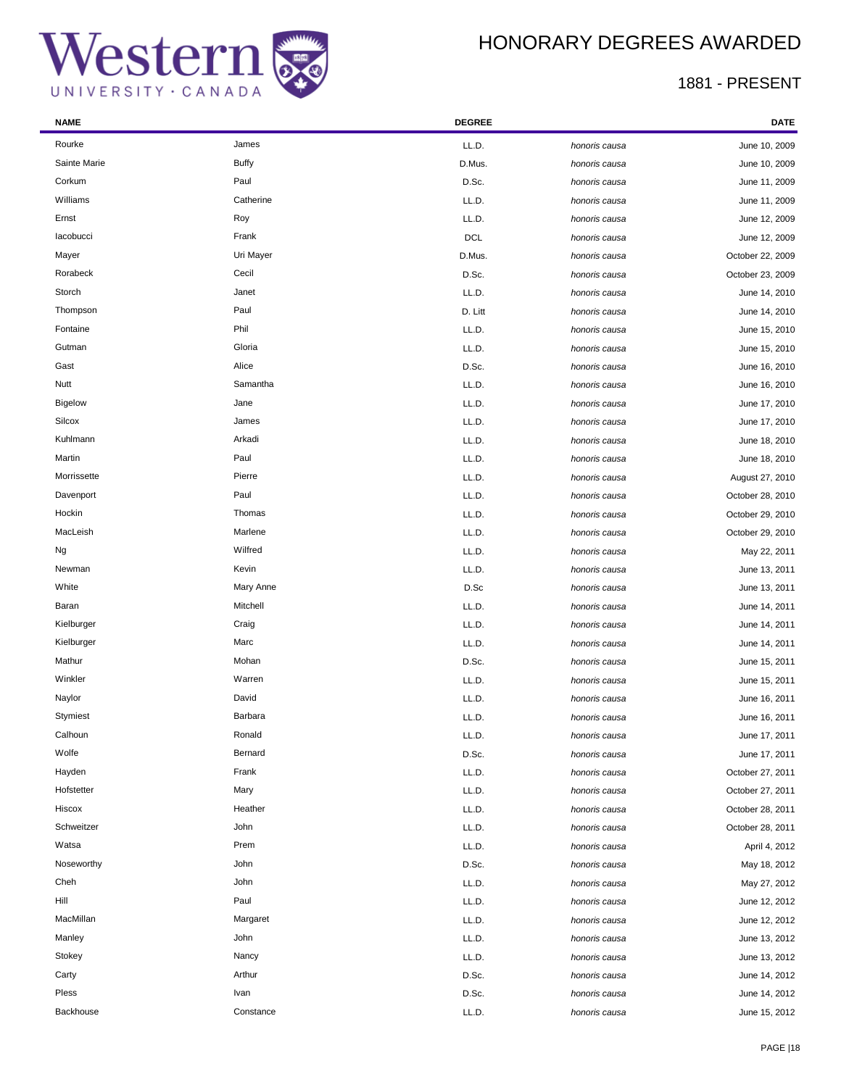## HONORARY DEGREES AWARDED

| <b>NAME</b>    |              | <b>DEGREE</b> |               | DATE             |
|----------------|--------------|---------------|---------------|------------------|
| Rourke         | James        | LL.D.         | honoris causa | June 10, 2009    |
| Sainte Marie   | <b>Buffy</b> | D.Mus.        | honoris causa | June 10, 2009    |
| Corkum         | Paul         | D.Sc.         | honoris causa | June 11, 2009    |
| Williams       | Catherine    | LL.D.         | honoris causa | June 11, 2009    |
| Ernst          | Roy          | LL.D.         | honoris causa | June 12, 2009    |
| lacobucci      | Frank        | <b>DCL</b>    | honoris causa | June 12, 2009    |
| Mayer          | Uri Mayer    | D.Mus.        | honoris causa | October 22, 2009 |
| Rorabeck       | Cecil        | D.Sc.         | honoris causa | October 23, 2009 |
| Storch         | Janet        | LL.D.         | honoris causa | June 14, 2010    |
| Thompson       | Paul         | D. Litt       | honoris causa | June 14, 2010    |
| Fontaine       | Phil         | LL.D.         | honoris causa | June 15, 2010    |
| Gutman         | Gloria       | LL.D.         | honoris causa | June 15, 2010    |
| Gast           | Alice        | D.Sc.         | honoris causa | June 16, 2010    |
| Nutt           | Samantha     | LL.D.         | honoris causa | June 16, 2010    |
| <b>Bigelow</b> | Jane         | LL.D.         | honoris causa | June 17, 2010    |
| Silcox         | James        | LL.D.         | honoris causa | June 17, 2010    |
| Kuhlmann       | Arkadi       | LL.D.         | honoris causa | June 18, 2010    |
| Martin         | Paul         | LL.D.         | honoris causa | June 18, 2010    |
| Morrissette    | Pierre       | LL.D.         | honoris causa | August 27, 2010  |
| Davenport      | Paul         | LL.D.         | honoris causa | October 28, 2010 |
| Hockin         | Thomas       | LL.D.         | honoris causa | October 29, 2010 |
| MacLeish       | Marlene      | LL.D.         | honoris causa | October 29, 2010 |
| Ng             | Wilfred      | LL.D.         | honoris causa | May 22, 2011     |
| Newman         | Kevin        | LL.D.         | honoris causa | June 13, 2011    |
| White          | Mary Anne    | D.Sc          | honoris causa | June 13, 2011    |
| Baran          | Mitchell     | LL.D.         | honoris causa | June 14, 2011    |
| Kielburger     | Craig        | LL.D.         | honoris causa | June 14, 2011    |
| Kielburger     | Marc         | LL.D.         | honoris causa | June 14, 2011    |
| Mathur         | Mohan        | D.Sc.         | honoris causa | June 15, 2011    |
| Winkler        | Warren       | LL.D.         | honoris causa | June 15, 2011    |
| Naylor         | David        | LL.D.         | honoris causa | June 16, 2011    |
| Stymiest       | Barbara      | LL.D.         | honoris causa | June 16, 2011    |
| Calhoun        | Ronald       | LL.D.         | honoris causa | June 17, 2011    |
| Wolfe          | Bernard      | D.Sc.         | honoris causa | June 17, 2011    |
| Hayden         | Frank        | LL.D.         | honoris causa | October 27, 2011 |
| Hofstetter     | Mary         | LL.D.         | honoris causa | October 27, 2011 |
| Hiscox         | Heather      | LL.D.         | honoris causa | October 28, 2011 |
| Schweitzer     | John         | LL.D.         | honoris causa | October 28, 2011 |
| Watsa          | Prem         | LL.D.         | honoris causa | April 4, 2012    |
| Noseworthy     | John         | D.Sc.         | honoris causa | May 18, 2012     |
| Cheh           | John         | LL.D.         | honoris causa | May 27, 2012     |
| Hill           | Paul         | LL.D.         | honoris causa | June 12, 2012    |
| MacMillan      | Margaret     | LL.D.         | honoris causa | June 12, 2012    |
| Manley         | John         | LL.D.         | honoris causa | June 13, 2012    |
| Stokey         | Nancy        | LL.D.         | honoris causa | June 13, 2012    |
| Carty          | Arthur       | D.Sc.         | honoris causa | June 14, 2012    |
| Pless          | Ivan         | D.Sc.         | honoris causa | June 14, 2012    |
| Backhouse      | Constance    | LL.D.         | honoris causa | June 15, 2012    |
|                |              |               |               |                  |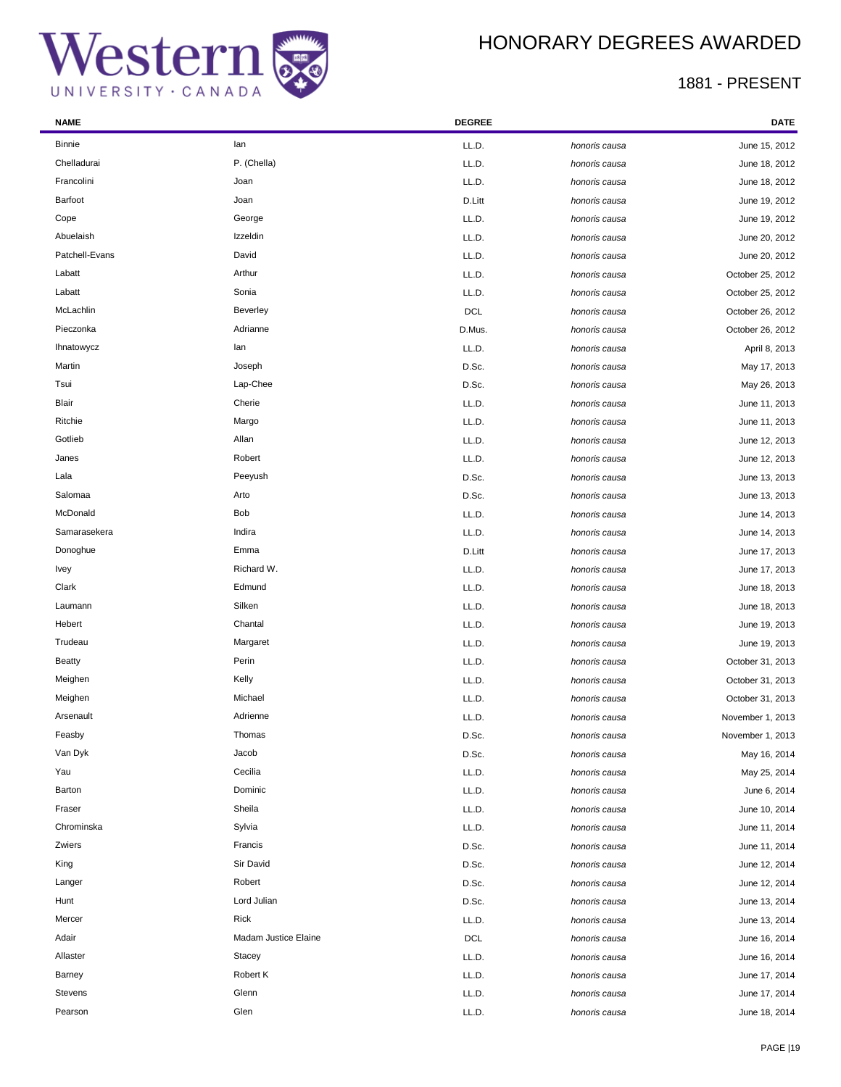



| <b>NAME</b>    |                      | <b>DEGREE</b> |               | DATE             |
|----------------|----------------------|---------------|---------------|------------------|
| <b>Binnie</b>  | lan                  | LL.D.         | honoris causa | June 15, 2012    |
| Chelladurai    | P. (Chella)          | LL.D.         | honoris causa | June 18, 2012    |
| Francolini     | Joan                 | LL.D.         | honoris causa | June 18, 2012    |
| Barfoot        | Joan                 | D.Litt        | honoris causa | June 19, 2012    |
| Cope           | George               | LL.D.         | honoris causa | June 19, 2012    |
| Abuelaish      | Izzeldin             | LL.D.         | honoris causa | June 20, 2012    |
| Patchell-Evans | David                | LL.D.         | honoris causa | June 20, 2012    |
| Labatt         | Arthur               | LL.D.         | honoris causa | October 25, 2012 |
| Labatt         | Sonia                | LL.D.         | honoris causa | October 25, 2012 |
| McLachlin      | Beverley             | <b>DCL</b>    | honoris causa | October 26, 2012 |
| Pieczonka      | Adrianne             | D.Mus.        | honoris causa | October 26, 2012 |
| Ihnatowycz     | lan                  | LL.D.         | honoris causa | April 8, 2013    |
| Martin         | Joseph               | D.Sc.         | honoris causa | May 17, 2013     |
| Tsui           | Lap-Chee             | D.Sc.         | honoris causa | May 26, 2013     |
| Blair          | Cherie               | LL.D.         | honoris causa | June 11, 2013    |
| Ritchie        | Margo                | LL.D.         | honoris causa | June 11, 2013    |
| Gotlieb        | Allan                | LL.D.         | honoris causa | June 12, 2013    |
| Janes          | Robert               | LL.D.         | honoris causa | June 12, 2013    |
| Lala           | Peeyush              | D.Sc.         | honoris causa | June 13, 2013    |
| Salomaa        | Arto                 | D.Sc.         | honoris causa | June 13, 2013    |
| McDonald       | Bob                  | LL.D.         | honoris causa | June 14, 2013    |
| Samarasekera   | Indira               | LL.D.         | honoris causa | June 14, 2013    |
| Donoghue       | Emma                 | D.Litt        | honoris causa | June 17, 2013    |
| <b>Ivey</b>    | Richard W.           | LL.D.         | honoris causa | June 17, 2013    |
| Clark          | Edmund               | LL.D.         | honoris causa | June 18, 2013    |
| Laumann        | Silken               | LL.D.         | honoris causa | June 18, 2013    |
| Hebert         | Chantal              | LL.D.         | honoris causa | June 19, 2013    |
| Trudeau        | Margaret             | LL.D.         | honoris causa | June 19, 2013    |
| <b>Beatty</b>  | Perin                | LL.D.         | honoris causa | October 31, 2013 |
| Meighen        | Kelly                | LL.D.         | honoris causa | October 31, 2013 |
| Meighen        | Michael              | LL.D.         | honoris causa | October 31, 2013 |
| Arsenault      | Adrienne             | LL.D.         | honoris causa | November 1, 2013 |
| Feasby         | Thomas               | D.Sc.         | honoris causa | November 1, 2013 |
| Van Dyk        | Jacob                | D.Sc.         | honoris causa | May 16, 2014     |
| Yau            | Cecilia              | LL.D.         | honoris causa | May 25, 2014     |
| Barton         | Dominic              | LL.D.         | honoris causa | June 6, 2014     |
| Fraser         | Sheila               | LL.D.         | honoris causa | June 10, 2014    |
| Chrominska     | Sylvia               | LL.D.         | honoris causa | June 11, 2014    |
| Zwiers         | Francis              | D.Sc.         | honoris causa | June 11, 2014    |
| King           | Sir David            | D.Sc.         | honoris causa | June 12, 2014    |
| Langer         | Robert               | D.Sc.         | honoris causa | June 12, 2014    |
| Hunt           | Lord Julian          | D.Sc.         | honoris causa | June 13, 2014    |
| Mercer         | Rick                 | LL.D.         | honoris causa | June 13, 2014    |
| Adair          | Madam Justice Elaine | <b>DCL</b>    | honoris causa | June 16, 2014    |
| Allaster       | Stacey               | LL.D.         | honoris causa | June 16, 2014    |
| Barney         | Robert K             | LL.D.         | honoris causa | June 17, 2014    |
| Stevens        | Glenn                | LL.D.         | honoris causa | June 17, 2014    |
| Pearson        | Glen                 | LL.D.         | honoris causa | June 18, 2014    |
|                |                      |               |               |                  |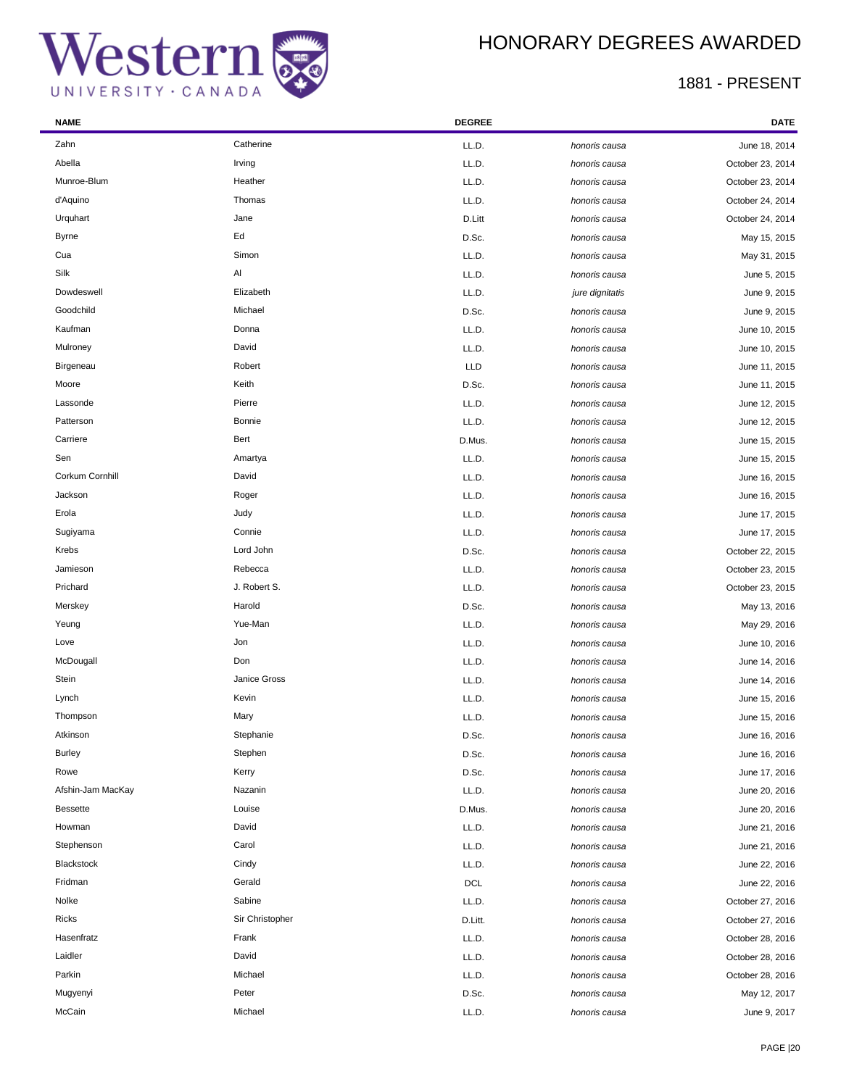



 $\overline{\phantom{a}}$ 

| <b>NAME</b>       |                 | <b>DEGREE</b> |                 | <b>DATE</b>      |
|-------------------|-----------------|---------------|-----------------|------------------|
| Zahn              | Catherine       | LL.D.         | honoris causa   | June 18, 2014    |
| Abella            | Irving          | LL.D.         | honoris causa   | October 23, 2014 |
| Munroe-Blum       | Heather         | LL.D.         | honoris causa   | October 23, 2014 |
| d'Aquino          | Thomas          | LL.D.         | honoris causa   | October 24, 2014 |
| Urquhart          | Jane            | D.Litt        | honoris causa   | October 24, 2014 |
| <b>Byrne</b>      | Ed              | D.Sc.         | honoris causa   | May 15, 2015     |
| Cua               | Simon           | LL.D.         | honoris causa   | May 31, 2015     |
| Silk              | Al              | LL.D.         | honoris causa   | June 5, 2015     |
| Dowdeswell        | Elizabeth       | LL.D.         | jure dignitatis | June 9, 2015     |
| Goodchild         | Michael         | D.Sc.         | honoris causa   | June 9, 2015     |
| Kaufman           | Donna           | LL.D.         | honoris causa   | June 10, 2015    |
| Mulroney          | David           | LL.D.         | honoris causa   | June 10, 2015    |
| Birgeneau         | Robert          | LLD           | honoris causa   | June 11, 2015    |
| Moore             | Keith           | D.Sc.         | honoris causa   | June 11, 2015    |
| Lassonde          | Pierre          | LL.D.         | honoris causa   | June 12, 2015    |
| Patterson         | <b>Bonnie</b>   | LL.D.         | honoris causa   | June 12, 2015    |
| Carriere          | Bert            | D.Mus.        | honoris causa   | June 15, 2015    |
| Sen               | Amartya         | LL.D.         | honoris causa   | June 15, 2015    |
| Corkum Cornhill   | David           | LL.D.         | honoris causa   | June 16, 2015    |
| Jackson           | Roger           | LL.D.         | honoris causa   | June 16, 2015    |
| Erola             | Judy            | LL.D.         | honoris causa   | June 17, 2015    |
| Sugiyama          | Connie          | LL.D.         | honoris causa   | June 17, 2015    |
| Krebs             | Lord John       | D.Sc.         | honoris causa   | October 22, 2015 |
| Jamieson          | Rebecca         | LL.D.         | honoris causa   | October 23, 2015 |
| Prichard          | J. Robert S.    | LL.D.         | honoris causa   | October 23, 2015 |
| Merskey           | Harold          | D.Sc.         | honoris causa   | May 13, 2016     |
| Yeung             | Yue-Man         | LL.D.         | honoris causa   | May 29, 2016     |
| Love              | Jon             | LL.D.         | honoris causa   | June 10, 2016    |
| McDougall         | Don             | LL.D.         | honoris causa   | June 14, 2016    |
| Stein             | Janice Gross    | LL.D.         | honoris causa   | June 14, 2016    |
| Lynch             | Kevin           | LL.D.         | honoris causa   | June 15, 2016    |
| Thompson          | Mary            | LL.D.         | honoris causa   | June 15, 2016    |
| Atkinson          | Stephanie       | D.Sc.         | honoris causa   | June 16, 2016    |
| <b>Burley</b>     | Stephen         | D.Sc.         | honoris causa   | June 16, 2016    |
| Rowe              | Kerry           | D.Sc.         | honoris causa   | June 17, 2016    |
| Afshin-Jam MacKay | Nazanin         | LL.D.         | honoris causa   | June 20, 2016    |
| <b>Bessette</b>   | Louise          | D.Mus.        | honoris causa   | June 20, 2016    |
| Howman            | David           | LL.D.         | honoris causa   | June 21, 2016    |
| Stephenson        | Carol           | LL.D.         | honoris causa   | June 21, 2016    |
| Blackstock        | Cindy           | LL.D.         | honoris causa   | June 22, 2016    |
| Fridman           | Gerald          | <b>DCL</b>    | honoris causa   | June 22, 2016    |
| Nolke             | Sabine          | LL.D.         | honoris causa   | October 27, 2016 |
| Ricks             | Sir Christopher | D.Litt.       | honoris causa   | October 27, 2016 |
| Hasenfratz        | Frank           | LL.D.         | honoris causa   | October 28, 2016 |
| Laidler           | David           | LL.D.         | honoris causa   | October 28, 2016 |
| Parkin            | Michael         | LL.D.         | honoris causa   | October 28, 2016 |
| Mugyenyi          | Peter           | D.Sc.         | honoris causa   | May 12, 2017     |
| McCain            | Michael         | LL.D.         | honoris causa   | June 9, 2017     |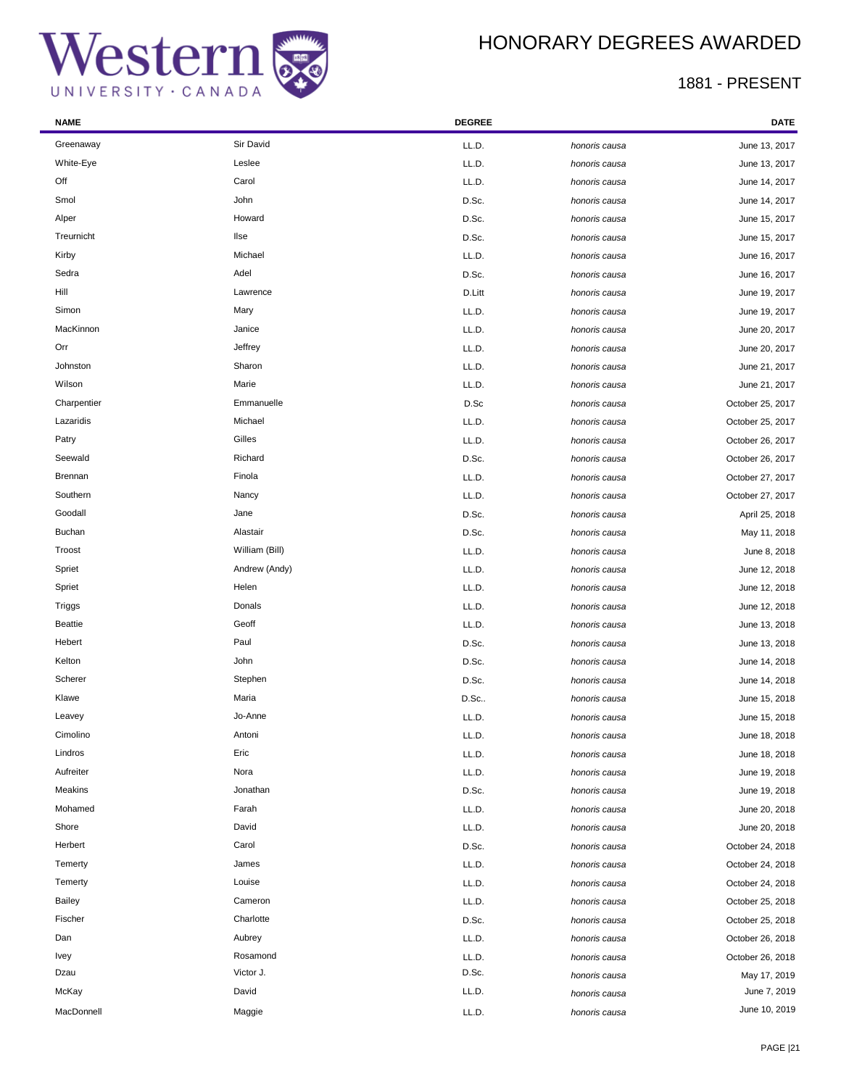## HONORARY DEGREES AWARDED

| <b>NAME</b>    |                | <b>DEGREE</b> |               | DATE             |
|----------------|----------------|---------------|---------------|------------------|
| Greenaway      | Sir David      | LL.D.         | honoris causa | June 13, 2017    |
| White-Eye      | Leslee         | LL.D.         | honoris causa | June 13, 2017    |
| Off            | Carol          | LL.D.         | honoris causa | June 14, 2017    |
| Smol           | John           | D.Sc.         | honoris causa | June 14, 2017    |
| Alper          | Howard         | D.Sc.         | honoris causa | June 15, 2017    |
| Treurnicht     | <b>Ilse</b>    | D.Sc.         | honoris causa | June 15, 2017    |
| Kirby          | Michael        | LL.D.         | honoris causa | June 16, 2017    |
| Sedra          | Adel           | D.Sc.         | honoris causa | June 16, 2017    |
| Hill           | Lawrence       | D.Litt        | honoris causa | June 19, 2017    |
| Simon          | Mary           | LL.D.         | honoris causa | June 19, 2017    |
| MacKinnon      | Janice         | LL.D.         | honoris causa | June 20, 2017    |
| Orr            | Jeffrey        | LL.D.         | honoris causa | June 20, 2017    |
| Johnston       | Sharon         | LL.D.         | honoris causa | June 21, 2017    |
| Wilson         | Marie          | LL.D.         | honoris causa | June 21, 2017    |
| Charpentier    | Emmanuelle     | D.Sc          | honoris causa | October 25, 2017 |
| Lazaridis      | Michael        | LL.D.         | honoris causa | October 25, 2017 |
| Patry          | Gilles         | LL.D.         | honoris causa | October 26, 2017 |
| Seewald        | Richard        | D.Sc.         | honoris causa | October 26, 2017 |
| Brennan        | Finola         | LL.D.         | honoris causa | October 27, 2017 |
| Southern       | Nancy          | LL.D.         | honoris causa | October 27, 2017 |
| Goodall        | Jane           | D.Sc.         | honoris causa | April 25, 2018   |
| <b>Buchan</b>  | Alastair       | D.Sc.         | honoris causa | May 11, 2018     |
| Troost         | William (Bill) | LL.D.         | honoris causa | June 8, 2018     |
| Spriet         | Andrew (Andy)  | LL.D.         | honoris causa | June 12, 2018    |
| Spriet         | Helen          | LL.D.         | honoris causa | June 12, 2018    |
| Triggs         | Donals         | LL.D.         | honoris causa | June 12, 2018    |
| <b>Beattie</b> | Geoff          | LL.D.         | honoris causa | June 13, 2018    |
| Hebert         | Paul           | D.Sc.         | honoris causa | June 13, 2018    |
| Kelton         | John           | D.Sc.         | honoris causa | June 14, 2018    |
| Scherer        | Stephen        | D.Sc.         | honoris causa | June 14, 2018    |
| Klawe          | Maria          | D.Sc          | honoris causa | June 15, 2018    |
| Leavey         | Jo-Anne        | LL.D.         | honoris causa | June 15, 2018    |
| Cimolino       | Antoni         | LL.D.         | honoris causa | June 18, 2018    |
| Lindros        | Eric           | LL.D.         | honoris causa | June 18, 2018    |
| Aufreiter      | Nora           | LL.D.         | honoris causa | June 19, 2018    |
| Meakins        | Jonathan       | D.Sc.         | honoris causa | June 19, 2018    |
| Mohamed        | Farah          | LL.D.         | honoris causa | June 20, 2018    |
| Shore          | David          | LL.D.         | honoris causa | June 20, 2018    |
| Herbert        | Carol          | D.Sc.         | honoris causa | October 24, 2018 |
| Temerty        | James          | LL.D.         | honoris causa | October 24, 2018 |
| Temerty        | Louise         | LL.D.         | honoris causa | October 24, 2018 |
| <b>Bailey</b>  | Cameron        | LL.D.         | honoris causa | October 25, 2018 |
| Fischer        | Charlotte      | D.Sc.         | honoris causa | October 25, 2018 |
| Dan            | Aubrey         | LL.D.         | honoris causa | October 26, 2018 |
| Ivey           | Rosamond       | LL.D.         | honoris causa | October 26, 2018 |
| Dzau           | Victor J.      | D.Sc.         | honoris causa | May 17, 2019     |
| McKay          | David          | LL.D.         | honoris causa | June 7, 2019     |
| MacDonnell     | Maggie         | LL.D.         | honoris causa | June 10, 2019    |
|                |                |               |               |                  |